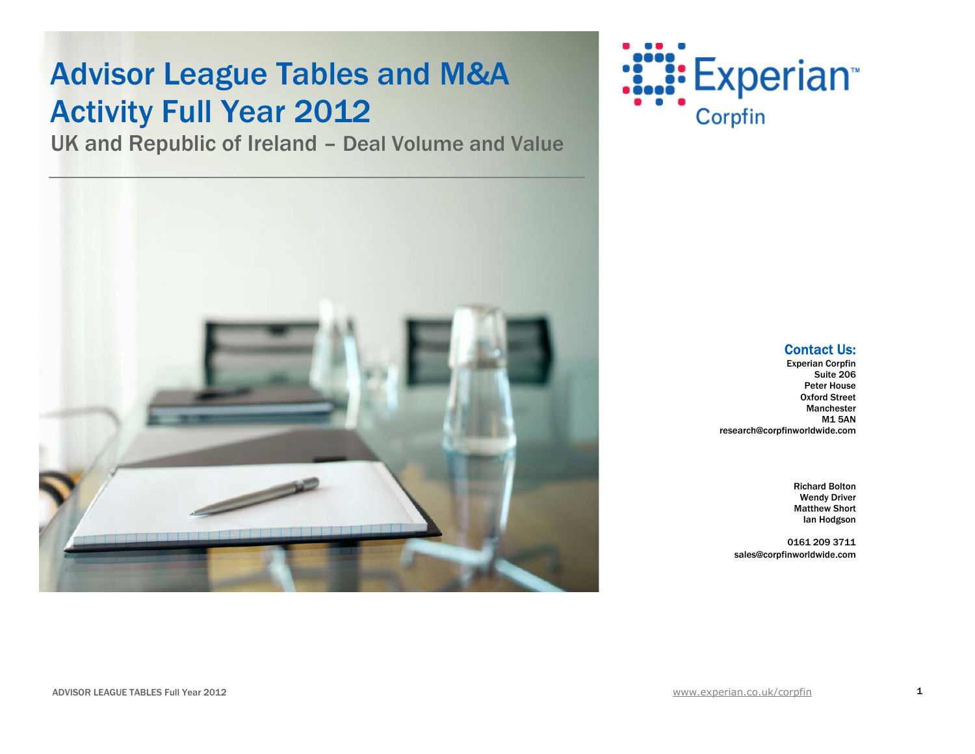## **Advisor League Tables and M&A** Activity Full Year 2012

UK and Republic of Ireland – Deal Volume and Value





### Contact Us:

Experian Corpfin Suite 206 Peter House Oxford Street Manchester M1 5AN research@corpfinworldwide.com

> Richard Bolton Wendy Driver Matthew Short Ian Hodgson

0161 209 3711 sales@corpfinworldwide.com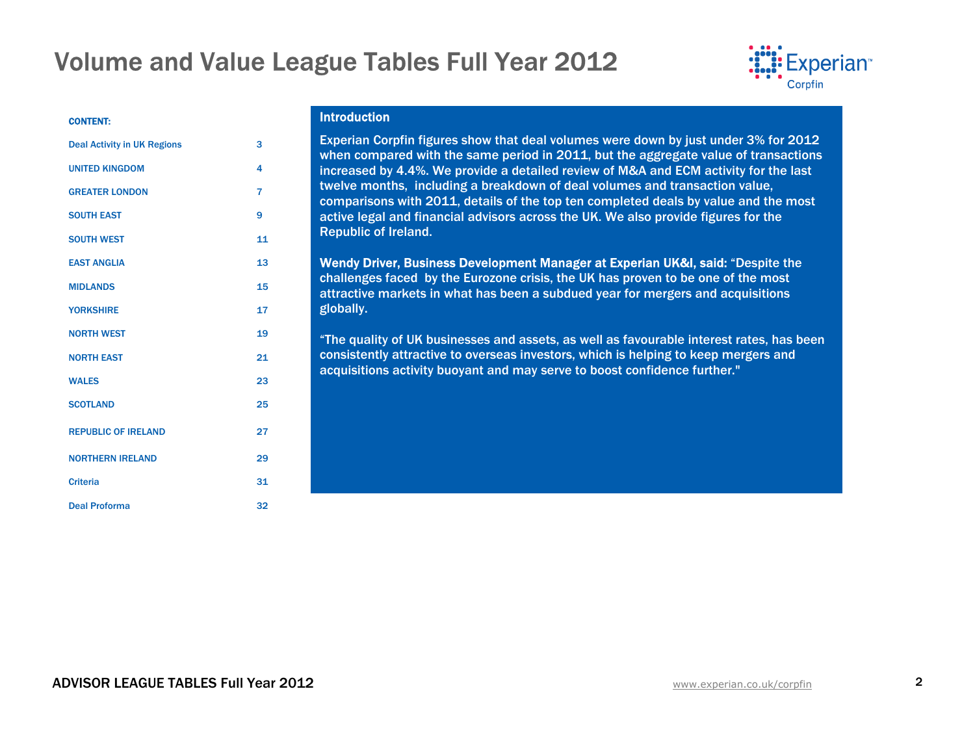

#### CONTENT:

| <b>Deal Activity in UK Regions</b> | 3              |
|------------------------------------|----------------|
| <b>UNITED KINGDOM</b>              | 4              |
| <b>GREATER LONDON</b>              | $\overline{7}$ |
| <b>SOUTH EAST</b>                  | 9              |
| <b>SOUTH WEST</b>                  | 11             |
| <b>EAST ANGLIA</b>                 | 13             |
| <b>MIDLANDS</b>                    | 15             |
| <b>YORKSHIRE</b>                   | 17             |
| <b>NORTH WEST</b>                  | 19             |
| <b>NORTH EAST</b>                  | 21             |
| <b>WALES</b>                       | 23             |
| <b>SCOTLAND</b>                    | 25             |
| <b>REPUBLIC OF IRELAND</b>         | 27             |
| <b>NORTHERN IRELAND</b>            | 29             |
| <b>Criteria</b>                    | 31             |
| <b>Deal Proforma</b>               | 32             |

### **Introduction**

Experian Corpfin figures show that deal volumes were down by just under 3% for 2012 when compared with the same period in 2011, but the aggregate value of transactions increased by 4.4%. We provide a detailed review of M&A and ECM activity for the last twelve months, including a breakdown of deal volumes and transaction value, comparisons with 2011, details of the top ten completed deals by value and the most active legal and financial advisors across the UK. We also provide figures for the Republic of Ireland.

Wendy Driver, Business Development Manager at Experian UK&I, said: "Despite the challenges faced by the Eurozone crisis, the UK has proven to be one of the most attractive markets in what has been a subdued year for mergers and acquisitions globally.

"The quality of UK businesses and assets, as well as favourable interest rates, has been consistently attractive to overseas investors, which is helping to keep mergers and acquisitions activity buoyant and may serve to boost confidence further."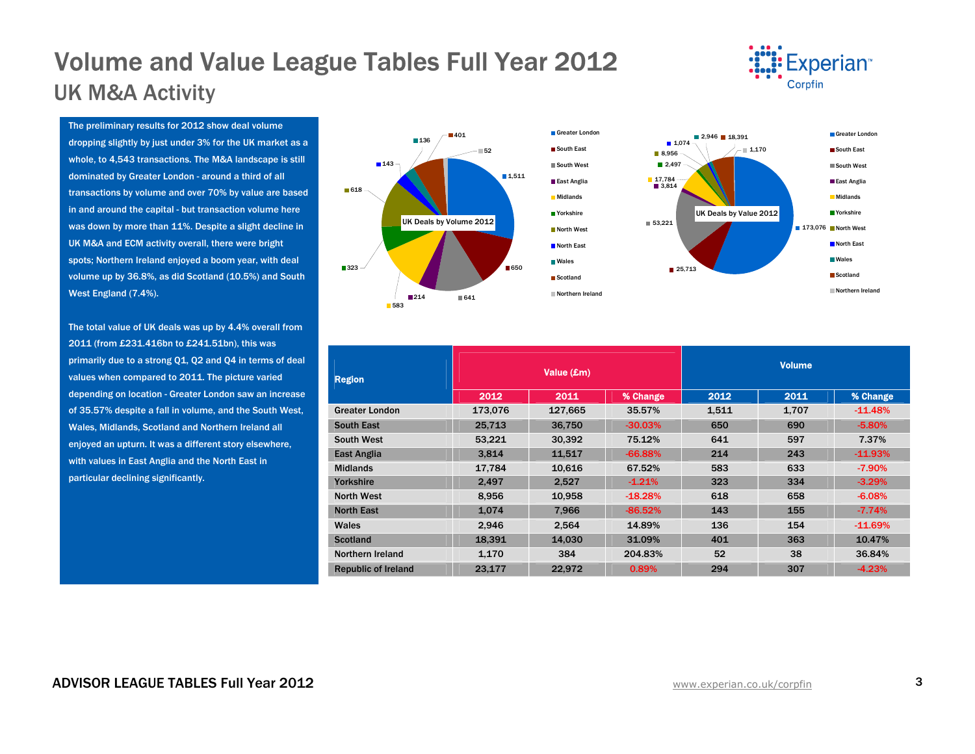### Volume and Value League Tables Full Year 2012 UK M&A Activity



The preliminary results for 2012 show deal volume dropping slightly by just under 3% for the UK market as a whole, to 4,543 transactions. The M&A landscape is still dominated by Greater London - around a third of all transactions by volume and over 70% by value are based in and around the capital - but transaction volume here was down by more than 11%. Despite a slight decline in UK M&A and ECM activity overall, there were bright spots; Northern Ireland enjoyed a boom year, with deal volume up by 36.8%, as did Scotland (10.5%) and South West England (7.4%).

The total value of UK deals was up by 4.4% overall from 2011 (from £231.416bn to £241.51bn), this was primarily due to a strong Q1, Q2 and Q4 in terms of deal values when compared to 2011. The picture varied depending on location - Greater London saw an increase of 35.57% despite a fall in volume, and the South West, Wales, Midlands, Scotland and Northern Ireland all enjoyed an upturn. It was a different story elsewhere, with values in East Anglia and the North East in particular declining significantly.



| <b>Region</b>              |         | Value (£m) |           | <b>Volume</b> |       |           |  |
|----------------------------|---------|------------|-----------|---------------|-------|-----------|--|
|                            | 2012    | 2011       | % Change  | 2012          | 2011  | % Change  |  |
| <b>Greater London</b>      | 173,076 | 127,665    | 35.57%    | 1,511         | 1,707 | $-11.48%$ |  |
| <b>South East</b>          | 25,713  | 36.750     | $-30.03%$ | 650           | 690   | $-5.80%$  |  |
| <b>South West</b>          | 53,221  | 30,392     | 75.12%    | 641           | 597   | 7.37%     |  |
| East Anglia                | 3.814   | 11.517     | $-66.88%$ | 214           | 243   | $-11.93%$ |  |
| <b>Midlands</b>            | 17,784  | 10,616     | 67.52%    | 583           | 633   | $-7.90%$  |  |
| Yorkshire                  | 2.497   | 2.527      | $-1.21%$  | 323           | 334   | $-3.29%$  |  |
| <b>North West</b>          | 8,956   | 10,958     | $-18.28%$ | 618           | 658   | $-6.08%$  |  |
| <b>North East</b>          | 1.074   | 7.966      | $-86.52%$ | 143           | 155   | $-7.74%$  |  |
| Wales                      | 2.946   | 2,564      | 14.89%    | 136           | 154   | $-11.69%$ |  |
| <b>Scotland</b>            | 18,391  | 14,030     | 31.09%    | 401           | 363   | 10.47%    |  |
| Northern Ireland           | 1,170   | 384        | 204.83%   | 52            | 38    | 36.84%    |  |
| <b>Republic of Ireland</b> | 23,177  | 22.972     | 0.89%     | 294           | 307   | $-4.23%$  |  |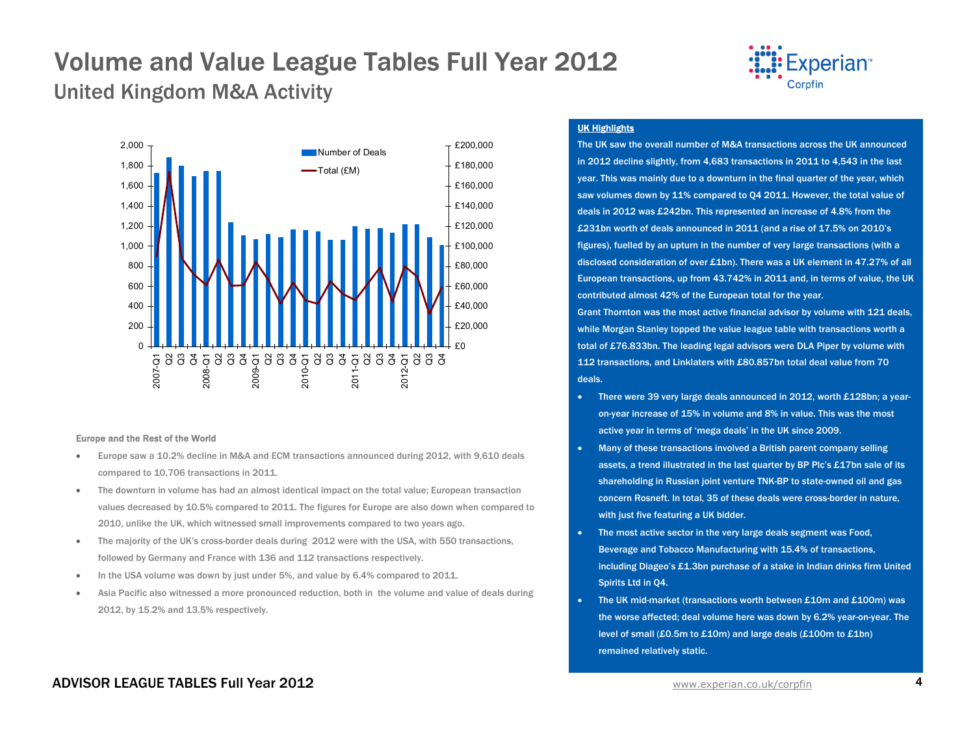United Kingdom M&A Activity



#### Europe and the Rest of the World

- • Europe saw a 10.2% decline in M&A and ECM transactions announced during 2012, with 9,610 deals compared to 10,706 transactions in 2011.
- • The downturn in volume has had an almost identical impact on the total value; European transaction values decreased by 10.5% compared to 2011. The figures for Europe are also down when compared to 2010, unlike the UK, which witnessed small improvements compared to two years ago.
- • The majority of the UK's cross-border deals during 2012 were with the USA, with 550 transactions, followed by Germany and France with 136 and 112 transactions respectively.
- •In the USA volume was down by just under 5%, and value by 6.4% compared to 2011.
- • Asia Pacific also witnessed a more pronounced reduction, both in the volume and value of deals during 2012, by 15.2% and 13.5% respectively.



#### UK Highlights

The UK saw the overall number of M&A transactions across the UK announced in 2012 decline slightly, from 4,683 transactions in 2011 to 4,543 in the last year. This was mainly due to a downturn in the final quarter of the year, which saw volumes down by 11% compared to Q4 2011. However, the total value of deals in 2012 was £242bn. This represented an increase of 4.8% from the £231bn worth of deals announced in 2011 (and a rise of 17.5% on 2010's figures), fuelled by an upturn in the number of very large transactions (with a disclosed consideration of over £1bn). There was a UK element in 47.27% of all European transactions, up from 43.742% in 2011 and, in terms of value, the UK contributed almost 42% of the European total for the year.

Grant Thornton was the most active financial advisor by volume with 121 deals, while Morgan Stanley topped the value league table with transactions worth a total of £76.833bn. The leading legal advisors were DLA Piper by volume with 112 transactions, and Linklaters with £80.857bn total deal value from 70 deals.

- • There were 39 very large deals announced in 2012, worth £128bn; a yearon-year increase of 15% in volume and 8% in value. This was the most active year in terms of 'mega deals' in the UK since 2009.
- • Many of these transactions involved a British parent company selling assets, a trend illustrated in the last quarter by BP Plc's £17bn sale of its shareholding in Russian joint venture TNK-BP to state-owned oil and gas concern Rosneft. In total, 35 of these deals were cross-border in nature, with just five featuring a UK bidder.
- The most active sector in the very large deals segment was Food, Beverage and Tobacco Manufacturing with 15.4% of transactions, including Diageo's £1.3bn purchase of a stake in Indian drinks firm United Spirits Ltd in Q4.
- • The UK mid-market (transactions worth between £10m and £100m) was the worse affected; deal volume here was down by 6.2% year-on-year. The level of small (£0.5m to £10m) and large deals (£100m to £1bn) remained relatively static.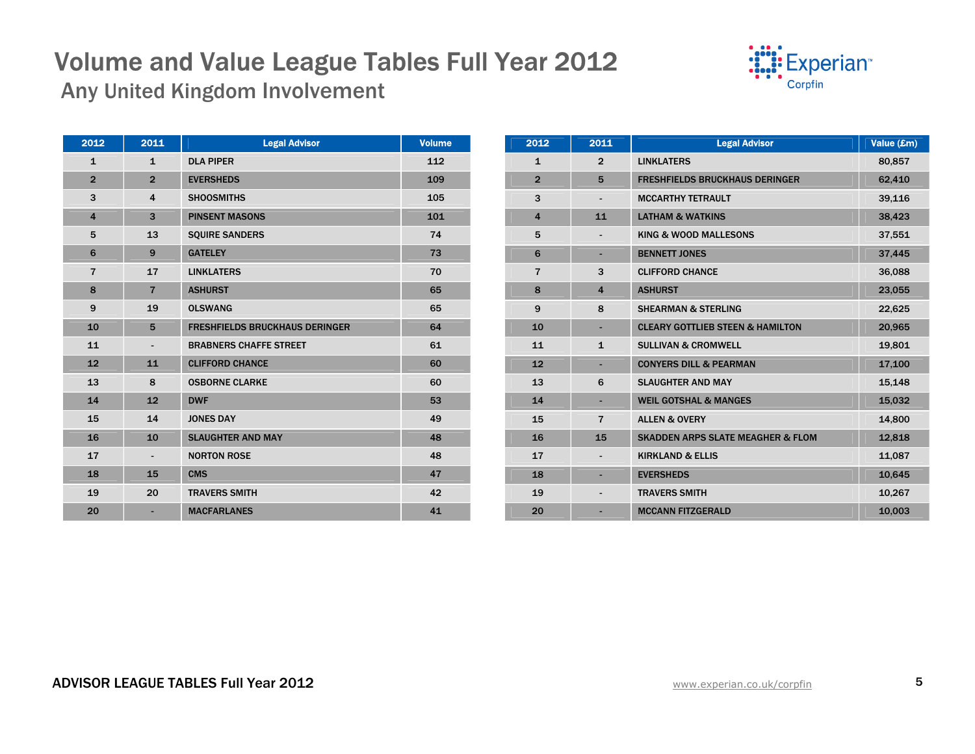

Any United Kingdom Involvement

| 2012           | 2011                         | <b>Legal Advisor</b>                  | <b>Volume</b> |
|----------------|------------------------------|---------------------------------------|---------------|
| $\mathbf{1}$   | $\mathbf{1}$                 | <b>DLA PIPER</b>                      | 112           |
| $\overline{2}$ | $\overline{2}$               | <b>EVERSHEDS</b>                      | 109           |
| 3              | $\overline{\mathbf{4}}$      | <b>SHOOSMITHS</b>                     | 105           |
| $\overline{4}$ | 3                            | <b>PINSENT MASONS</b>                 | 101           |
| 5              | 13                           | <b>SQUIRE SANDERS</b>                 | 74            |
| 6              | 9                            | <b>GATELEY</b>                        | 73            |
| $\overline{7}$ | 17                           | <b>LINKLATERS</b>                     | 70            |
| 8              | $\overline{7}$               | <b>ASHURST</b>                        | 65            |
| 9              | 19                           | <b>OLSWANG</b>                        | 65            |
| 10             | 5                            | <b>FRESHFIELDS BRUCKHAUS DERINGER</b> | 64            |
| 11             | $\qquad \qquad \blacksquare$ | <b>BRABNERS CHAFFE STREET</b>         | 61            |
| 12             | 11                           | <b>CLIFFORD CHANCE</b>                | 60            |
| 13             | 8                            | <b>OSBORNE CLARKE</b>                 | 60            |
| 14             | 12                           | <b>DWF</b>                            | 53            |
| 15             | 14                           | <b>JONES DAY</b>                      | 49            |
| 16             | 10                           | <b>SLAUGHTER AND MAY</b>              | 48            |
| 17             | $\overline{\phantom{a}}$     | <b>NORTON ROSE</b>                    | 48            |
| 18             | 15                           | <b>CMS</b>                            | 47            |
| 19             | 20                           | <b>TRAVERS SMITH</b>                  | 42            |
| 20             |                              | <b>MACFARLANES</b>                    | 41            |

| 2012                    | 2011                     | <b>Legal Advisor</b>                         | Value (£m) |
|-------------------------|--------------------------|----------------------------------------------|------------|
| $\mathbf{1}$            | $\overline{2}$           | <b>LINKLATERS</b>                            | 80,857     |
| $\overline{2}$          | 5                        | <b>FRESHFIELDS BRUCKHAUS DERINGER</b>        | 62,410     |
| 3                       | $\overline{\phantom{0}}$ | <b>MCCARTHY TETRAULT</b>                     | 39,116     |
| $\overline{\mathbf{4}}$ | 11                       | <b>LATHAM &amp; WATKINS</b>                  | 38,423     |
| 5                       |                          | <b>KING &amp; WOOD MALLESONS</b>             | 37,551     |
| 6                       | ٠                        | <b>BENNETT JONES</b>                         | 37,445     |
| $\overline{7}$          | 3                        | <b>CLIFFORD CHANCE</b>                       | 36,088     |
| 8                       | $\overline{\mathbf{4}}$  | <b>ASHURST</b>                               | 23,055     |
| 9                       | 8                        | <b>SHEARMAN &amp; STERLING</b>               | 22,625     |
| 10                      | ٠                        | <b>CLEARY GOTTLIEB STEEN &amp; HAMILTON</b>  | 20,965     |
| 11                      | $\mathbf{1}$             | <b>SULLIVAN &amp; CROMWELL</b>               | 19,801     |
| 12                      |                          | <b>CONYERS DILL &amp; PEARMAN</b>            | 17,100     |
| 13                      | 6                        | <b>SLAUGHTER AND MAY</b>                     | 15,148     |
| 14                      | ÷                        | <b>WEIL GOTSHAL &amp; MANGES</b>             | 15,032     |
| 15                      | $\overline{7}$           | <b>ALLEN &amp; OVERY</b>                     | 14,800     |
| 16                      | 15                       | <b>SKADDEN ARPS SLATE MEAGHER &amp; FLOM</b> | 12,818     |
| 17                      | $\overline{\phantom{0}}$ | <b>KIRKLAND &amp; ELLIS</b>                  | 11,087     |
| 18                      | ÷,                       | <b>EVERSHEDS</b>                             | 10,645     |
| 19                      |                          | <b>TRAVERS SMITH</b>                         | 10,267     |
| 20                      |                          | <b>MCCANN FITZGERALD</b>                     | 10,003     |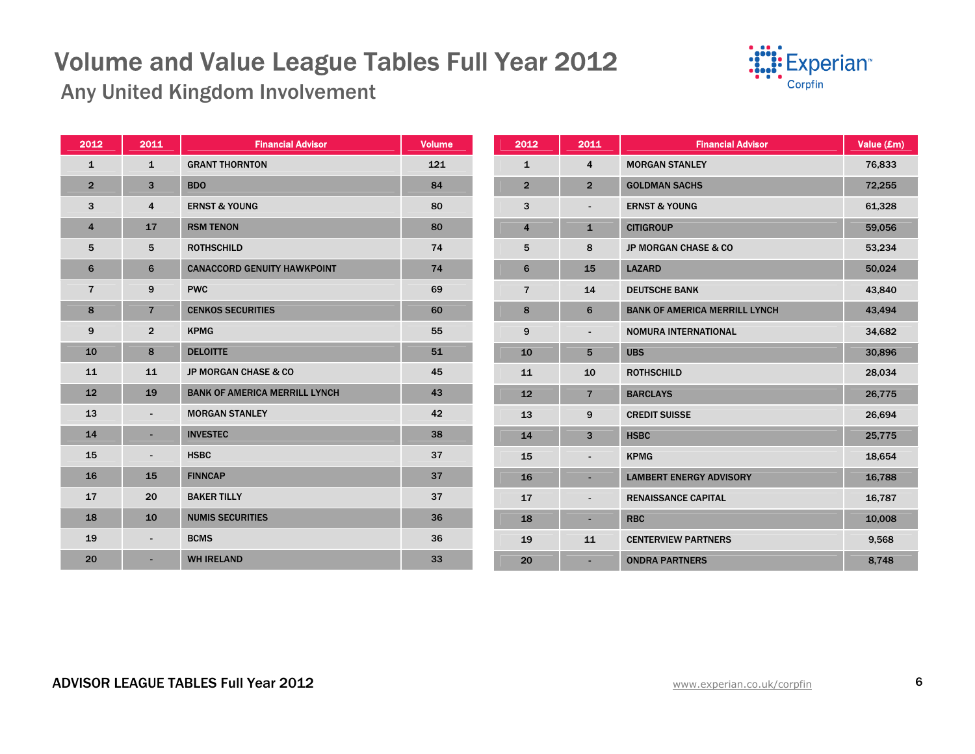

Any United Kingdom Involvement

| 2012           | 2011                     | <b>Financial Advisor</b>             | <b>Volume</b> | 2012           | 2011                     | <b>Financial Advisor</b>             | Value (£m) |
|----------------|--------------------------|--------------------------------------|---------------|----------------|--------------------------|--------------------------------------|------------|
| $\mathbf{1}$   | $\mathbf{1}$             | <b>GRANT THORNTON</b>                | 121           | $\mathbf{1}$   | 4                        | <b>MORGAN STANLEY</b>                | 76,833     |
| $\overline{2}$ | 3                        | <b>BDO</b>                           | 84            | $\overline{2}$ | $\overline{2}$           | <b>GOLDMAN SACHS</b>                 | 72,255     |
| 3              | 4                        | <b>ERNST &amp; YOUNG</b>             | 80            | 3              | $\overline{\phantom{a}}$ | <b>ERNST &amp; YOUNG</b>             | 61,328     |
| 4              | 17                       | <b>RSM TENON</b>                     | 80            | 4              | $\mathbf{1}$             | <b>CITIGROUP</b>                     | 59,056     |
| 5              | 5                        | <b>ROTHSCHILD</b>                    | 74            | 5              | 8                        | <b>JP MORGAN CHASE &amp; CO</b>      | 53,234     |
| 6              | 6                        | <b>CANACCORD GENUITY HAWKPOINT</b>   | 74            | 6              | 15                       | <b>LAZARD</b>                        | 50,024     |
| $\overline{7}$ | 9                        | <b>PWC</b>                           | 69            | $\overline{7}$ | 14                       | <b>DEUTSCHE BANK</b>                 | 43,840     |
| 8              | $\overline{7}$           | <b>CENKOS SECURITIES</b>             | 60            | 8              | 6                        | <b>BANK OF AMERICA MERRILL LYNCH</b> | 43,494     |
| 9              | $\overline{2}$           | <b>KPMG</b>                          | 55            | 9              | $\blacksquare$           | NOMURA INTERNATIONAL                 | 34,682     |
| 10             | 8                        | <b>DELOITTE</b>                      | 51            | 10             | 5                        | <b>UBS</b>                           | 30,896     |
| 11             | 11                       | <b>JP MORGAN CHASE &amp; CO</b>      | 45            | 11             | 10                       | <b>ROTHSCHILD</b>                    | 28,034     |
| 12             | 19                       | <b>BANK OF AMERICA MERRILL LYNCH</b> | 43            | 12             | $\overline{7}$           | <b>BARCLAYS</b>                      | 26,775     |
| 13             | $\blacksquare$           | <b>MORGAN STANLEY</b>                | 42            | 13             | 9                        | <b>CREDIT SUISSE</b>                 | 26,694     |
| 14             | $\sim$                   | <b>INVESTEC</b>                      | 38            | 14             | 3                        | <b>HSBC</b>                          | 25,775     |
| 15             | $\blacksquare$           | <b>HSBC</b>                          | 37            | 15             | $\blacksquare$           | <b>KPMG</b>                          | 18,654     |
| 16             | 15                       | <b>FINNCAP</b>                       | 37            | 16             | $\overline{\phantom{a}}$ | <b>LAMBERT ENERGY ADVISORY</b>       | 16,788     |
| 17             | 20                       | <b>BAKER TILLY</b>                   | 37            | 17             | $\blacksquare$           | <b>RENAISSANCE CAPITAL</b>           | 16,787     |
| 18             | 10                       | <b>NUMIS SECURITIES</b>              | 36            | 18             | ٠.                       | <b>RBC</b>                           | 10,008     |
| 19             | $\overline{\phantom{a}}$ | <b>BCMS</b>                          | 36            | 19             | 11                       | <b>CENTERVIEW PARTNERS</b>           | 9,568      |
| 20             | ٠                        | <b>WH IRELAND</b>                    | 33            | 20             | $\blacksquare$           | <b>ONDRA PARTNERS</b>                | 8,748      |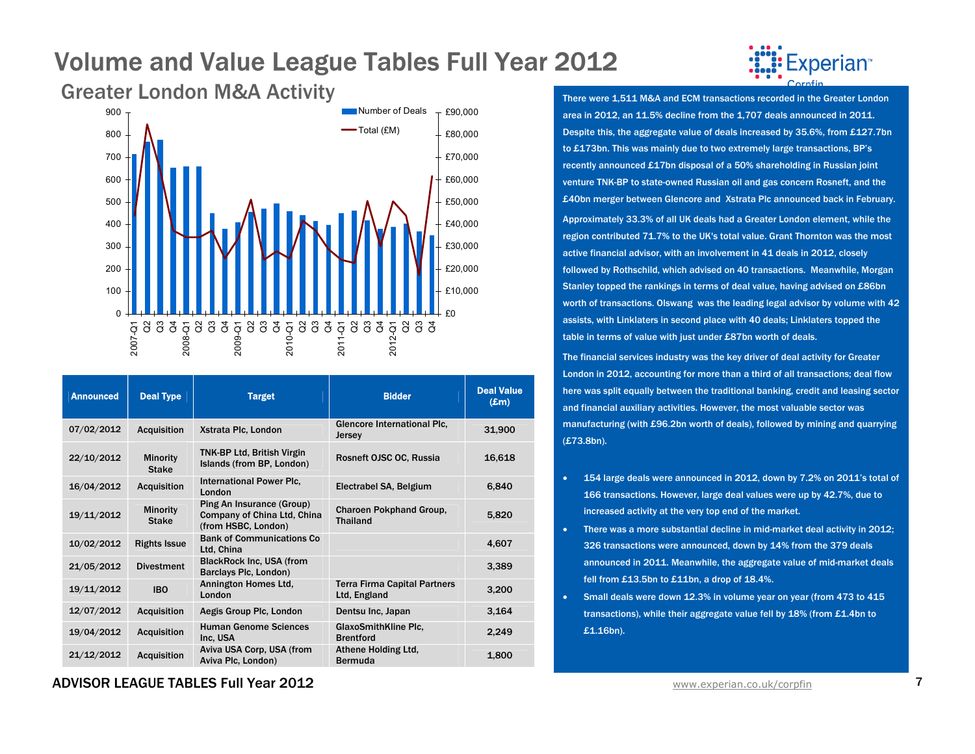

| <b>Announced</b> | <b>Deal Type</b>                | <b>Target</b>                                                                   | <b>Bidder</b>                                       | <b>Deal Value</b><br>$(\pmb{\pounds} \mathbf{m})$ |
|------------------|---------------------------------|---------------------------------------------------------------------------------|-----------------------------------------------------|---------------------------------------------------|
| 07/02/2012       | <b>Acquisition</b>              | Xstrata Plc, London                                                             | Glencore International Plc.<br>Jersey               | 31,900                                            |
| 22/10/2012       | <b>Minority</b><br><b>Stake</b> | <b>TNK-BP Ltd, British Virgin</b><br>Islands (from BP, London)                  | Rosneft OJSC OC, Russia                             | 16,618                                            |
| 16/04/2012       | <b>Acquisition</b>              | International Power Plc.<br>London                                              | Electrabel SA, Belgium                              | 6,840                                             |
| 19/11/2012       | <b>Minority</b><br><b>Stake</b> | Ping An Insurance (Group)<br>Company of China Ltd, China<br>(from HSBC, London) | <b>Charoen Pokphand Group,</b><br><b>Thailand</b>   | 5,820                                             |
| 10/02/2012       | <b>Rights Issue</b>             | <b>Bank of Communications Co</b><br>Ltd, China                                  |                                                     | 4,607                                             |
| 21/05/2012       | <b>Divestment</b>               | <b>BlackRock Inc. USA (from</b><br>Barclays Plc, London)                        |                                                     | 3,389                                             |
| 19/11/2012       | <b>IBO</b>                      | Annington Homes Ltd.<br>London                                                  | <b>Terra Firma Capital Partners</b><br>Ltd, England | 3,200                                             |
| 12/07/2012       | <b>Acquisition</b>              | Aegis Group Plc, London                                                         | Dentsu Inc, Japan                                   | 3,164                                             |
| 19/04/2012       | <b>Acquisition</b>              | <b>Human Genome Sciences</b><br>Inc. USA                                        | <b>GlaxoSmithKline Plc.</b><br><b>Brentford</b>     | 2,249                                             |
| 21/12/2012       | <b>Acquisition</b>              | Aviva USA Corp. USA (from<br>Aviva Plc, London)                                 | Athene Holding Ltd.<br><b>Bermuda</b>               | 1,800                                             |

perian<sup>®</sup>

area in 2012, an 11.5% decline from the 1,707 deals announced in 2011. Despite this, the aggregate value of deals increased by 35.6%, from £127.7bn to £173bn. This was mainly due to two extremely large transactions, BP's recently announced £17bn disposal of a 50% shareholding in Russian joint venture TNK-BP to state-owned Russian oil and gas concern Rosneft, and the £40bn merger between Glencore and Xstrata Plc announced back in February. Approximately 33.3% of all UK deals had a Greater London element, while the region contributed 71.7% to the UK's total value. Grant Thornton was the most active financial advisor, with an involvement in 41 deals in 2012, closely followed by Rothschild, which advised on 40 transactions. Meanwhile, Morgan Stanley topped the rankings in terms of deal value, having advised on £86bn worth of transactions. Olswang was the leading legal advisor by volume with 42 assists, with Linklaters in second place with 40 deals; Linklaters topped the table in terms of value with just under £87bn worth of deals.

The financial services industry was the key driver of deal activity for Greater London in 2012, accounting for more than a third of all transactions; deal flow here was split equally between the traditional banking, credit and leasing sector and financial auxiliary activities. However, the most valuable sector was manufacturing (with £96.2bn worth of deals), followed by mining and quarrying (£73.8bn).

- • 154 large deals were announced in 2012, down by 7.2% on 2011's total of 166 transactions. However, large deal values were up by 42.7%, due to increased activity at the very top end of the market.
- • There was a more substantial decline in mid-market deal activity in 2012; 326 transactions were announced, down by 14% from the 379 deals announced in 2011. Meanwhile, the aggregate value of mid-market deals fell from £13.5bn to £11bn, a drop of 18.4%.
- Small deals were down 12.3% in volume year on year (from 473 to 415 transactions), while their aggregate value fell by 18% (from £1.4bn to £1.16bn).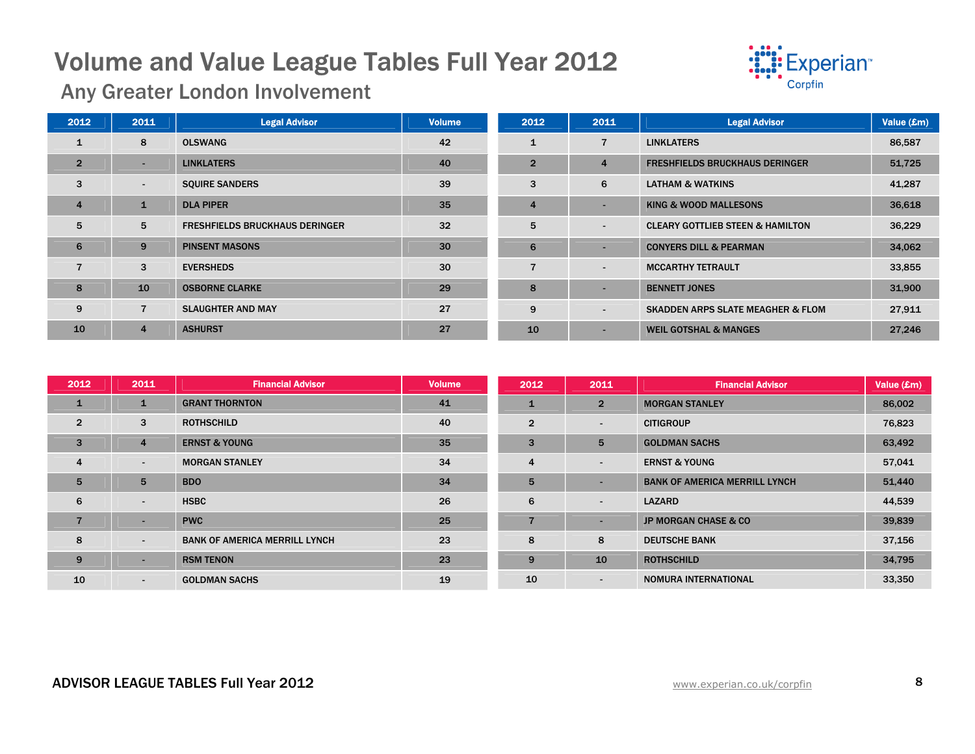

Any Greater London Involvement

| 2012           | 2011           | <b>Legal Advisor</b>                  | Volume | 2012           | 2011                     | <b>Legal Advisor</b>                         | Value (£m) |
|----------------|----------------|---------------------------------------|--------|----------------|--------------------------|----------------------------------------------|------------|
|                | 8              | <b>OLSWANG</b>                        | 42     | $\mathbf{1}$   | 7                        | <b>LINKLATERS</b>                            | 86,587     |
| $\overline{2}$ | ۰.             | <b>LINKLATERS</b>                     | 40     | $\overline{2}$ | $\overline{4}$           | <b>FRESHFIELDS BRUCKHAUS DERINGER</b>        | 51,725     |
| 3              | $\sim$         | <b>SQUIRE SANDERS</b>                 | 39     | 3              | 6                        | <b>LATHAM &amp; WATKINS</b>                  | 41,287     |
| $\overline{4}$ | $\mathbf{1}$   | <b>DLA PIPER</b>                      | 35     | $\overline{4}$ |                          | <b>KING &amp; WOOD MALLESONS</b>             | 36,618     |
| 5              | 5              | <b>FRESHFIELDS BRUCKHAUS DERINGER</b> | 32     | 5              | $\overline{\phantom{a}}$ | <b>CLEARY GOTTLIEB STEEN &amp; HAMILTON</b>  | 36,229     |
| 6              | 9              | <b>PINSENT MASONS</b>                 | 30     | 6              | ۰                        | <b>CONYERS DILL &amp; PEARMAN</b>            | 34,062     |
|                | 3              | <b>EVERSHEDS</b>                      | 30     |                | $\overline{\phantom{a}}$ | <b>MCCARTHY TETRAULT</b>                     | 33,855     |
| 8              | 10             | <b>OSBORNE CLARKE</b>                 | 29     | 8              |                          | <b>BENNETT JONES</b>                         | 31,900     |
| 9              | $\overline{7}$ | <b>SLAUGHTER AND MAY</b>              | 27     | 9              | $\overline{\phantom{a}}$ | <b>SKADDEN ARPS SLATE MEAGHER &amp; FLOM</b> | 27,911     |
| 10             | $\overline{4}$ | <b>ASHURST</b>                        | 27     | 10             |                          | <b>WEIL GOTSHAL &amp; MANGES</b>             | 27.246     |

| 2012           | 2011                     | <b>Financial Advisor</b>             | <b>Volume</b> | 2012           | 2011                     | <b>Financial Advisor</b>             | Value (£m) |
|----------------|--------------------------|--------------------------------------|---------------|----------------|--------------------------|--------------------------------------|------------|
| -1             | $\mathbf{1}$             | <b>GRANT THORNTON</b>                | 41            | 1              | $\overline{2}$           | <b>MORGAN STANLEY</b>                | 86,002     |
| $\overline{2}$ | 3                        | <b>ROTHSCHILD</b>                    | 40            | $\overline{2}$ | $\blacksquare$           | <b>CITIGROUP</b>                     | 76,823     |
| 3              | $\overline{4}$           | <b>ERNST &amp; YOUNG</b>             | 35            | 3              | 5                        | <b>GOLDMAN SACHS</b>                 | 63,492     |
| $\overline{4}$ | $\sim$                   | <b>MORGAN STANLEY</b>                | 34            | 4              | $\sim$                   | <b>ERNST &amp; YOUNG</b>             | 57,041     |
| 5              | 5                        | <b>BDO</b>                           | 34            | 5              |                          | <b>BANK OF AMERICA MERRILL LYNCH</b> | 51,440     |
| 6              | $\sim$                   | <b>HSBC</b>                          | 26            | 6              | $\sim$                   | <b>LAZARD</b>                        | 44,539     |
| $\overline{7}$ |                          | <b>PWC</b>                           | 25            |                | $\overline{\phantom{a}}$ | <b>JP MORGAN CHASE &amp; CO</b>      | 39,839     |
| 8              | $\overline{\phantom{a}}$ | <b>BANK OF AMERICA MERRILL LYNCH</b> | 23            | 8              | 8                        | <b>DEUTSCHE BANK</b>                 | 37,156     |
| 9              | . .                      | <b>RSM TENON</b>                     | 23            | 9              | 10                       | <b>ROTHSCHILD</b>                    | 34,795     |
| 10             | $\sim$                   | <b>GOLDMAN SACHS</b>                 | 19            | 10             | $\overline{\phantom{a}}$ | <b>NOMURA INTERNATIONAL</b>          | 33,350     |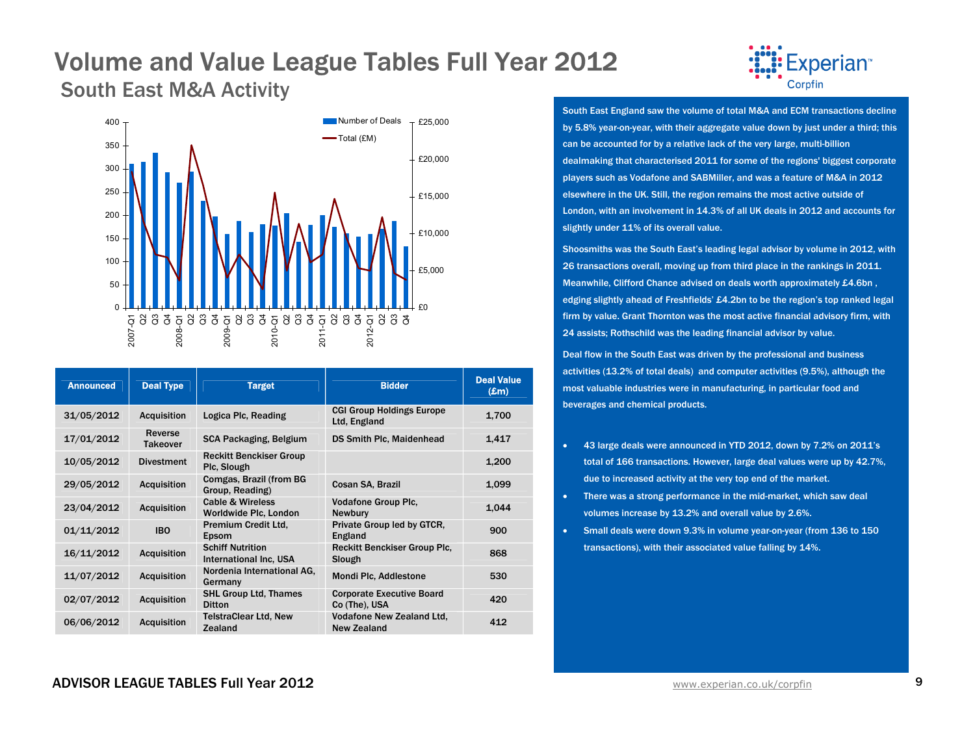### Volume and Value League Tables Full Year 2012 South East M&A Activity



| <b>Announced</b> | <b>Deal Type</b>           | <b>Target</b>                                        | <b>Bidder</b>                                          | <b>Deal Value</b><br>$(\pmb{\pounds} \mathbf{m})$ |
|------------------|----------------------------|------------------------------------------------------|--------------------------------------------------------|---------------------------------------------------|
| 31/05/2012       | <b>Acquisition</b>         | Logica Plc, Reading                                  | <b>CGI Group Holdings Europe</b><br>Ltd, England       | 1,700                                             |
| 17/01/2012       | Reverse<br><b>Takeover</b> | SCA Packaging, Belgium                               | <b>DS Smith Plc, Maidenhead</b>                        | 1,417                                             |
| 10/05/2012       | <b>Divestment</b>          | <b>Reckitt Benckiser Group</b><br>Plc, Slough        |                                                        | 1,200                                             |
| 29/05/2012       | <b>Acquisition</b>         | Comgas, Brazil (from BG<br>Group, Reading)           | Cosan SA, Brazil                                       | 1.099                                             |
| 23/04/2012       | <b>Acquisition</b>         | <b>Cable &amp; Wireless</b><br>Worldwide Plc, London | <b>Vodafone Group Plc.</b><br><b>Newbury</b>           | 1.044                                             |
| 01/11/2012       | <b>IBO</b>                 | Premium Credit Ltd.<br>Epsom                         | Private Group led by GTCR,<br>England                  | 900                                               |
| 16/11/2012       | <b>Acquisition</b>         | <b>Schiff Nutrition</b><br>International Inc. USA    | <b>Reckitt Benckiser Group Plc.</b><br>Slough          | 868                                               |
| 11/07/2012       | <b>Acquisition</b>         | Nordenia International AG.<br>Germany                | Mondi Plc, Addlestone                                  | 530                                               |
| 02/07/2012       | <b>Acquisition</b>         | <b>SHL Group Ltd, Thames</b><br><b>Ditton</b>        | <b>Corporate Executive Board</b><br>Co (The), USA      | 420                                               |
| 06/06/2012       | <b>Acquisition</b>         | <b>TelstraClear Ltd, New</b><br>Zealand              | <b>Vodafone New Zealand Ltd.</b><br><b>New Zealand</b> | 412                                               |



South East England saw the volume of total M&A and ECM transactions decline by 5.8% year-on-year, with their aggregate value down by just under a third; this can be accounted for by a relative lack of the very large, multi-billion dealmaking that characterised 2011 for some of the regions' biggest corporate players such as Vodafone and SABMiller, and was a feature of M&A in 2012 elsewhere in the UK. Still, the region remains the most active outside of London, with an involvement in 14.3% of all UK deals in 2012 and accounts for slightly under 11% of its overall value.

Shoosmiths was the South East's leading legal advisor by volume in 2012, with 26 transactions overall, moving up from third place in the rankings in 2011. Meanwhile, Clifford Chance advised on deals worth approximately £4.6bn , edging slightly ahead of Freshfields' £4.2bn to be the region's top ranked legal firm by value. Grant Thornton was the most active financial advisory firm, with 24 assists; Rothschild was the leading financial advisor by value.

Deal flow in the South East was driven by the professional and business activities (13.2% of total deals) and computer activities (9.5%), although the most valuable industries were in manufacturing, in particular food and beverages and chemical products.

- • 43 large deals were announced in YTD 2012, down by 7.2% on 2011's total of 166 transactions. However, large deal values were up by 42.7%, due to increased activity at the very top end of the market.
- There was a strong performance in the mid-market, which saw deal volumes increase by 13.2% and overall value by 2.6%.
- Small deals were down 9.3% in volume year-on-year (from 136 to 150 transactions), with their associated value falling by 14%.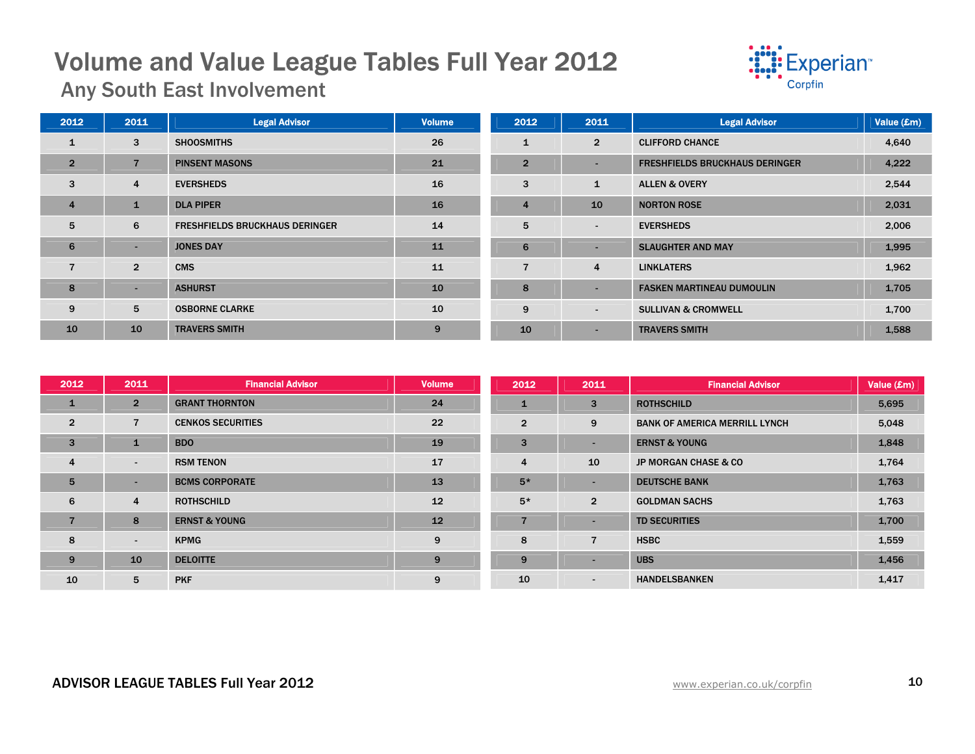

Any South East Involvement

| 2012           | 2011           | <b>Legal Advisor</b>                  | <b>Volume</b> | 2012           | 2011                     | <b>Legal Advisor</b>                  | Value (£m) |
|----------------|----------------|---------------------------------------|---------------|----------------|--------------------------|---------------------------------------|------------|
| 1              | 3              | <b>SHOOSMITHS</b>                     | 26            | 1              | $\overline{2}$           | <b>CLIFFORD CHANCE</b>                | 4,640      |
| $\overline{2}$ |                | <b>PINSENT MASONS</b>                 | 21            | $\overline{2}$ | $\sim$                   | <b>FRESHFIELDS BRUCKHAUS DERINGER</b> | 4,222      |
| 3              | 4              | <b>EVERSHEDS</b>                      | 16            | 3              | $\mathbf{1}$             | <b>ALLEN &amp; OVERY</b>              | 2,544      |
| $\overline{4}$ |                | <b>DLA PIPER</b>                      | 16            | $\overline{4}$ | 10                       | <b>NORTON ROSE</b>                    | 2,031      |
| 5              | 6              | <b>FRESHFIELDS BRUCKHAUS DERINGER</b> | 14            | 5              | $\sim$                   | <b>EVERSHEDS</b>                      | 2,006      |
| 6              | $\sim$         | <b>JONES DAY</b>                      | 11            | 6              | $\sim$                   | <b>SLAUGHTER AND MAY</b>              | 1,995      |
| 7              | $\overline{2}$ | <b>CMS</b>                            | 11            | 7              | 4                        | <b>LINKLATERS</b>                     | 1,962      |
| 8              | ۰              | <b>ASHURST</b>                        | 10            | 8              | $\sim$                   | <b>FASKEN MARTINEAU DUMOULIN</b>      | 1,705      |
| 9              | 5              | <b>OSBORNE CLARKE</b>                 | 10            | 9              | $\sim$                   | <b>SULLIVAN &amp; CROMWELL</b>        | 1,700      |
| 10             | 10             | <b>TRAVERS SMITH</b>                  | 9             | 10             | $\overline{\phantom{a}}$ | <b>TRAVERS SMITH</b>                  | 1,588      |

| 2012           | 2011           | <b>Financial Advisor</b> | <b>Volume</b> | 2012           | 2011                     | <b>Financial Advisor</b>             | Value (£m) |
|----------------|----------------|--------------------------|---------------|----------------|--------------------------|--------------------------------------|------------|
| $\mathbf{1}$   | $\overline{2}$ | <b>GRANT THORNTON</b>    | 24            | 1              | 3                        | <b>ROTHSCHILD</b>                    | 5,695      |
| $\overline{2}$ | 7              | <b>CENKOS SECURITIES</b> | 22            | $\overline{2}$ | 9                        | <b>BANK OF AMERICA MERRILL LYNCH</b> | 5,048      |
| $\overline{3}$ | $\mathbf{1}$   | <b>BDO</b>               | 19            | 3              | $\overline{\phantom{a}}$ | <b>ERNST &amp; YOUNG</b>             | 1,848      |
| $\overline{4}$ | $\sim$         | <b>RSM TENON</b>         | 17            | $\overline{4}$ | 10                       | <b>JP MORGAN CHASE &amp; CO</b>      | 1,764      |
| 5              | $\sim$         | <b>BCMS CORPORATE</b>    | 13            | $5*$           | $\overline{\phantom{a}}$ | <b>DEUTSCHE BANK</b>                 | 1,763      |
| 6              | 4              | <b>ROTHSCHILD</b>        | 12            | $5*$           | $\overline{2}$           | <b>GOLDMAN SACHS</b>                 | 1,763      |
| $\overline{7}$ | 8              | <b>ERNST &amp; YOUNG</b> | 12            | $\overline{7}$ | $\overline{\phantom{0}}$ | <b>TD SECURITIES</b>                 | 1,700      |
| 8              | $\sim$         | <b>KPMG</b>              | 9             | 8              | $\overline{7}$           | <b>HSBC</b>                          | 1,559      |
| 9              | 10             | <b>DELOITTE</b>          | 9             | 9              | $\overline{\phantom{a}}$ | <b>UBS</b>                           | 1,456      |
| 10             | 5              | <b>PKF</b>               | 9             | 10             | $\overline{\phantom{a}}$ | <b>HANDELSBANKEN</b>                 | 1,417      |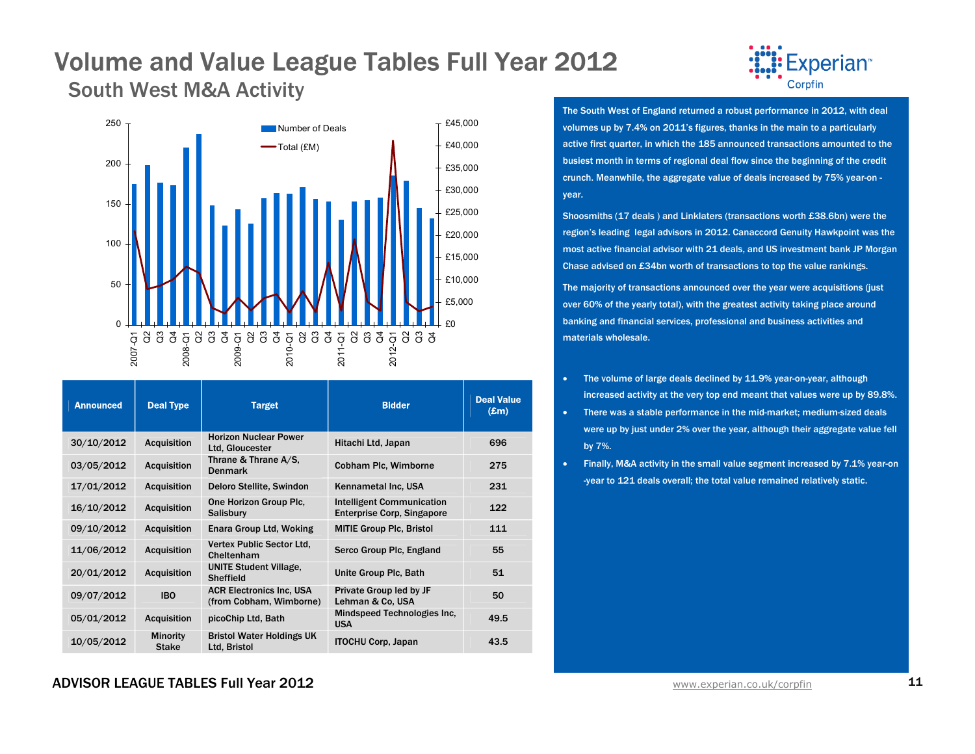South West M&A Activity



| <b>Announced</b> | <b>Deal Type</b>                | <b>Target</b>                                              | <b>Bidder</b>                                                         | <b>Deal Value</b><br>$(\pmb{\pounds} \mathbf{m})$ |
|------------------|---------------------------------|------------------------------------------------------------|-----------------------------------------------------------------------|---------------------------------------------------|
| 30/10/2012       | <b>Acquisition</b>              | <b>Horizon Nuclear Power</b><br>Ltd. Gloucester            | Hitachi Ltd, Japan                                                    | 696                                               |
| 03/05/2012       | <b>Acquisition</b>              | Thrane & Thrane A/S,<br><b>Denmark</b>                     | Cobham Plc, Wimborne                                                  | 275                                               |
| 17/01/2012       | <b>Acquisition</b>              | Deloro Stellite, Swindon                                   | Kennametal Inc, USA                                                   | 231                                               |
| 16/10/2012       | <b>Acquisition</b>              | One Horizon Group Plc.<br><b>Salisbury</b>                 | <b>Intelligent Communication</b><br><b>Enterprise Corp, Singapore</b> | 122                                               |
| 09/10/2012       | <b>Acquisition</b>              | Enara Group Ltd, Woking                                    | <b>MITIE Group Plc, Bristol</b>                                       | 111                                               |
| 11/06/2012       | <b>Acquisition</b>              | Vertex Public Sector Ltd.<br>Cheltenham                    | Serco Group Plc, England                                              | 55                                                |
| 20/01/2012       | <b>Acquisition</b>              | <b>UNITE Student Village.</b><br>Sheffield                 | Unite Group Plc, Bath                                                 | 51                                                |
| 09/07/2012       | <b>IBO</b>                      | <b>ACR Electronics Inc. USA</b><br>(from Cobham, Wimborne) | Private Group led by JF<br>Lehman & Co. USA                           | 50                                                |
| 05/01/2012       | <b>Acquisition</b>              | picoChip Ltd, Bath                                         | Mindspeed Technologies Inc.<br><b>USA</b>                             | 49.5                                              |
| 10/05/2012       | <b>Minority</b><br><b>Stake</b> | <b>Bristol Water Holdings UK</b><br>Ltd. Bristol           | <b>ITOCHU Corp. Japan</b>                                             | 43.5                                              |



The South West of England returned a robust performance in 2012, with deal volumes up by 7.4% on 2011's figures, thanks in the main to a particularly active first quarter, in which the 185 announced transactions amounted to the busiest month in terms of regional deal flow since the beginning of the credit crunch. Meanwhile, the aggregate value of deals increased by 75% year-on year.

Shoosmiths (17 deals ) and Linklaters (transactions worth £38.6bn) were the region's leading legal advisors in 2012. Canaccord Genuity Hawkpoint was the most active financial advisor with 21 deals, and US investment bank JP Morgan Chase advised on £34bn worth of transactions to top the value rankings.

The majority of transactions announced over the year were acquisitions (just over 60% of the yearly total), with the greatest activity taking place around banking and financial services, professional and business activities and materials wholesale.

- • The volume of large deals declined by 11.9% year-on-year, although increased activity at the very top end meant that values were up by 89.8%.
- • There was a stable performance in the mid-market; medium-sized deals were up by just under 2% over the year, although their aggregate value fell by 7%.
- •Finally, M&A activity in the small value segment increased by 7.1% year-on -year to 121 deals overall; the total value remained relatively static.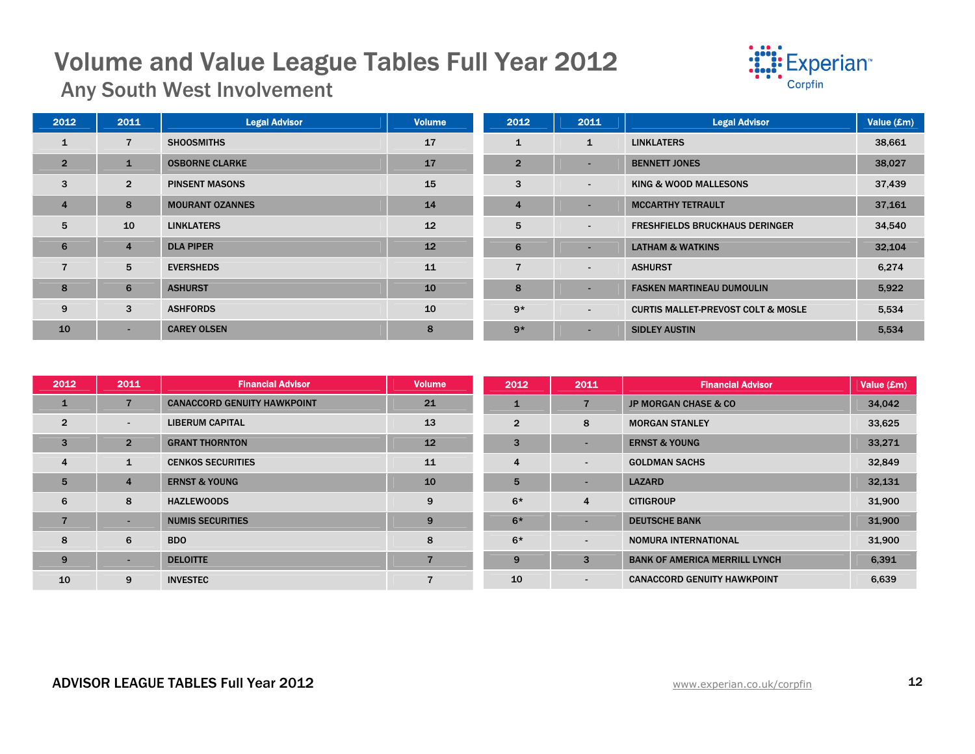

Any South West Involvement

| 2012           | 2011           | <b>Legal Advisor</b>   | <b>Volume</b> | 2012           | 2011                     | <b>Legal Advisor</b>                          | Value (£m) |
|----------------|----------------|------------------------|---------------|----------------|--------------------------|-----------------------------------------------|------------|
| 1              | $\overline{7}$ | <b>SHOOSMITHS</b>      | 17            | $\mathbf{1}$   | $\mathbf{1}$             | <b>LINKLATERS</b>                             | 38,661     |
| $\overline{2}$ | 1              | <b>OSBORNE CLARKE</b>  | 17            | $\overline{2}$ |                          | <b>BENNETT JONES</b>                          | 38,027     |
| 3              | $\overline{2}$ | <b>PINSENT MASONS</b>  | 15            | 3              | $\blacksquare$           | KING & WOOD MALLESONS                         | 37,439     |
| $\overline{4}$ | 8              | <b>MOURANT OZANNES</b> | 14            | $\overline{4}$ |                          | <b>MCCARTHY TETRAULT</b>                      | 37,161     |
| 5              | 10             | <b>LINKLATERS</b>      | 12            | 5              | $\overline{\phantom{0}}$ | <b>FRESHFIELDS BRUCKHAUS DERINGER</b>         | 34,540     |
| 6              | $\overline{4}$ | <b>DLA PIPER</b>       | 12            | 6              |                          | <b>LATHAM &amp; WATKINS</b>                   | 32,104     |
| $\overline{7}$ | 5              | <b>EVERSHEDS</b>       | 11            | $\overline{7}$ | $\blacksquare$           | <b>ASHURST</b>                                | 6,274      |
| 8              | $6\phantom{1}$ | <b>ASHURST</b>         | 10            | 8              |                          | <b>FASKEN MARTINEAU DUMOULIN</b>              | 5,922      |
| 9              | 3              | <b>ASHFORDS</b>        | 10            | $9*$           | $\overline{\phantom{a}}$ | <b>CURTIS MALLET-PREVOST COLT &amp; MOSLE</b> | 5,534      |
| 10             | ۰.             | <b>CAREY OLSEN</b>     | 8             | $9*$           |                          | <b>SIDLEY AUSTIN</b>                          | 5,534      |

| 2012           | 2011           | <b>Financial Advisor</b>           | <b>Volume</b>  | 2012           | 2011                     | <b>Financial Advisor</b>             | Value (£m) |
|----------------|----------------|------------------------------------|----------------|----------------|--------------------------|--------------------------------------|------------|
| $\mathbf{1}$   | 7              | <b>CANACCORD GENUITY HAWKPOINT</b> | 21             |                |                          | <b>JP MORGAN CHASE &amp; CO</b>      | 34,042     |
| $\overline{2}$ | $\blacksquare$ | <b>LIBERUM CAPITAL</b>             | 13             | $\overline{2}$ | 8                        | <b>MORGAN STANLEY</b>                | 33,625     |
| 3              | $\overline{2}$ | <b>GRANT THORNTON</b>              | 12             | 3              | $\blacksquare$           | <b>ERNST &amp; YOUNG</b>             | 33,271     |
| $\overline{4}$ | $\mathbf{1}$   | <b>CENKOS SECURITIES</b>           | 11             | 4              | $\overline{\phantom{a}}$ | <b>GOLDMAN SACHS</b>                 | 32,849     |
| 5              | $\overline{4}$ | <b>ERNST &amp; YOUNG</b>           | 10             | 5              | $\overline{\phantom{0}}$ | <b>LAZARD</b>                        | 32,131     |
| 6              | 8              | <b>HAZLEWOODS</b>                  | 9              | $6*$           | $\overline{4}$           | <b>CITIGROUP</b>                     | 31,900     |
| $\overline{7}$ | -              | <b>NUMIS SECURITIES</b>            | 9              | $6*$           | $\overline{\phantom{0}}$ | <b>DEUTSCHE BANK</b>                 | 31,900     |
| 8              | 6              | <b>BDO</b>                         | 8              | $6*$           | $\blacksquare$           | <b>NOMURA INTERNATIONAL</b>          | 31,900     |
| 9              | ۰              | <b>DELOITTE</b>                    | $\overline{7}$ | 9              | 3                        | <b>BANK OF AMERICA MERRILL LYNCH</b> | 6,391      |
| 10             | 9              | <b>INVESTEC</b>                    |                | 10             | $\overline{\phantom{a}}$ | <b>CANACCORD GENUITY HAWKPOINT</b>   | 6,639      |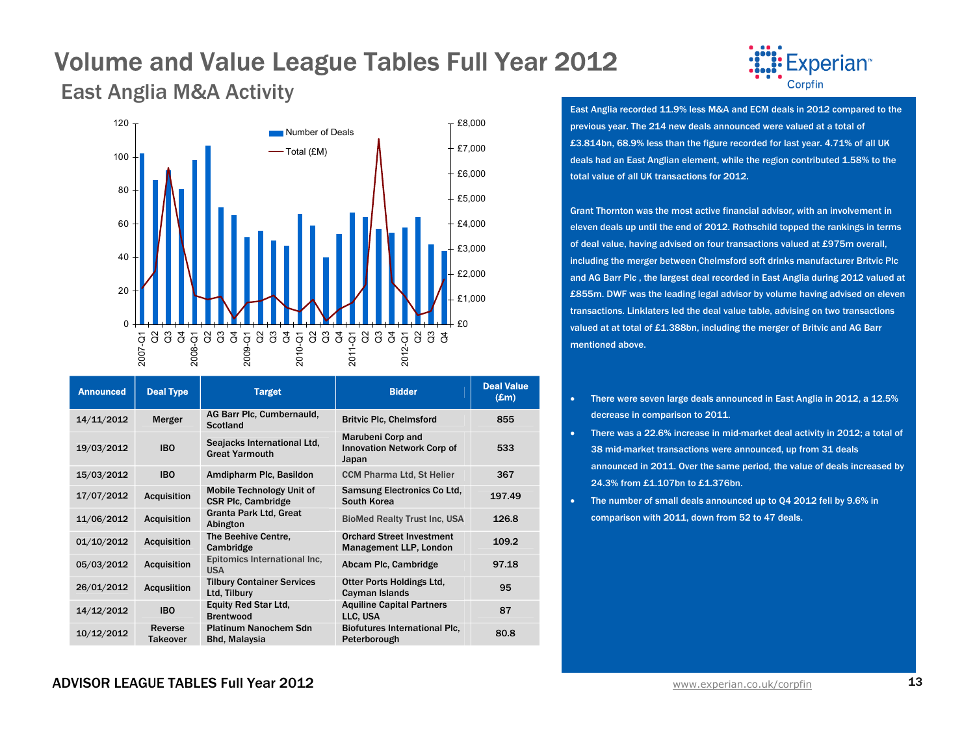East Anglia M&A Activity



| <b>Announced</b> | <b>Deal Type</b>           | <b>Target</b>                                                 | <b>Bidder</b>                                                          | <b>Deal Value</b><br>$(\mathbf{Em})$ |
|------------------|----------------------------|---------------------------------------------------------------|------------------------------------------------------------------------|--------------------------------------|
| 14/11/2012       | Merger                     | AG Barr Plc, Cumbernauld,<br><b>Scotland</b>                  | <b>Britvic Plc, Chelmsford</b>                                         | 855                                  |
| 19/03/2012       | <b>IBO</b>                 | Seajacks International Ltd,<br><b>Great Yarmouth</b>          | <b>Marubeni Corp and</b><br><b>Innovation Network Corp of</b><br>Japan | 533                                  |
| 15/03/2012       | <b>IBO</b>                 | Amdipharm Plc, Basildon                                       | <b>CCM Pharma Ltd, St Helier</b>                                       | 367                                  |
| 17/07/2012       | <b>Acquisition</b>         | <b>Mobile Technology Unit of</b><br><b>CSR Plc, Cambridge</b> | <b>Samsung Electronics Co Ltd,</b><br>South Korea                      | 197.49                               |
| 11/06/2012       | <b>Acquisition</b>         | Granta Park Ltd, Great<br>Abington                            | <b>BioMed Realty Trust Inc. USA</b>                                    | 126.8                                |
| 01/10/2012       | <b>Acquisition</b>         | The Beehive Centre.<br>Cambridge                              | <b>Orchard Street Investment</b><br>Management LLP, London             | 109.2                                |
| 05/03/2012       | <b>Acquisition</b>         | Epitomics International Inc.<br><b>USA</b>                    | Abcam Plc, Cambridge                                                   | 97.18                                |
| 26/01/2012       | <b>Acqusiition</b>         | <b>Tilbury Container Services</b><br>Ltd, Tilbury             | Otter Ports Holdings Ltd.<br>Cayman Islands                            | 95                                   |
| 14/12/2012       | <b>IBO</b>                 | <b>Equity Red Star Ltd.</b><br><b>Brentwood</b>               | <b>Aquiline Capital Partners</b><br>LLC, USA                           | 87                                   |
| 10/12/2012       | Reverse<br><b>Takeover</b> | <b>Platinum Nanochem Sdn</b><br><b>Bhd, Malaysia</b>          | <b>Biofutures International Plc.</b><br>Peterborough                   | 80.8                                 |



East Anglia recorded 11.9% less M&A and ECM deals in 2012 compared to the previous year. The 214 new deals announced were valued at a total of £3.814bn, 68.9% less than the figure recorded for last year. 4.71% of all UK deals had an East Anglian element, while the region contributed 1.58% to the total value of all UK transactions for 2012.

Grant Thornton was the most active financial advisor, with an involvement in eleven deals up until the end of 2012. Rothschild topped the rankings in terms of deal value, having advised on four transactions valued at £975m overall, including the merger between Chelmsford soft drinks manufacturer Britvic Plc and AG Barr Plc , the largest deal recorded in East Anglia during 2012 valued at £855m. DWF was the leading legal advisor by volume having advised on eleven transactions. Linklaters led the deal value table, advising on two transactions valued at at total of £1.388bn, including the merger of Britvic and AG Barr mentioned above.

- • There were seven large deals announced in East Anglia in 2012, a 12.5% decrease in comparison to 2011.
- There was a 22.6% increase in mid-market deal activity in 2012; a total of 38 mid-market transactions were announced, up from 31 deals announced in 2011. Over the same period, the value of deals increased by 24.3% from £1.107bn to £1.376bn.
- The number of small deals announced up to Q4 2012 fell by 9.6% in comparison with 2011, down from 52 to 47 deals.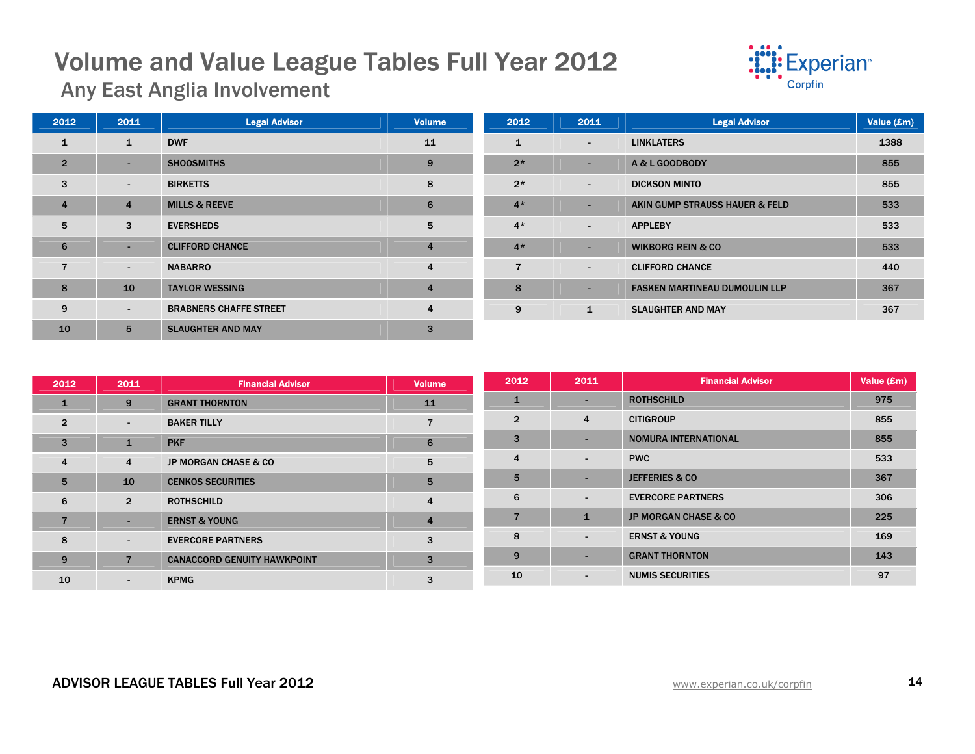

Any East Anglia Involvement

| 2012           | 2011           | <b>Legal Advisor</b>          | <b>Volume</b>  | 2012           | 2011                     | <b>Legal Advisor</b>                 | Value (£m) |
|----------------|----------------|-------------------------------|----------------|----------------|--------------------------|--------------------------------------|------------|
| $\mathbf{1}$   | $\mathbf{1}$   | <b>DWF</b>                    | 11             | $\mathbf{1}$   | $\sim$                   | <b>LINKLATERS</b>                    | 1388       |
| $\overline{2}$ | r an           | <b>SHOOSMITHS</b>             | 9              | $2*$           | $\overline{\phantom{a}}$ | A & L GOODBODY                       | 855        |
| 3              | $\sim$         | <b>BIRKETTS</b>               | 8              | $2*$           | $\blacksquare$           | <b>DICKSON MINTO</b>                 | 855        |
| $\overline{4}$ | $\overline{4}$ | <b>MILLS &amp; REEVE</b>      | 6              | $4*$           |                          | AKIN GUMP STRAUSS HAUER & FELD       | 533        |
| 5              | 3              | <b>EVERSHEDS</b>              | 5              | $4*$           | $\sim$                   | <b>APPLEBY</b>                       | 533        |
| 6              | ۰.             | <b>CLIFFORD CHANCE</b>        | $\overline{4}$ | $4*$           | ۰.                       | <b>WIKBORG REIN &amp; CO</b>         | 533        |
| 7              | $\sim$         | <b>NABARRO</b>                | $\overline{4}$ | $\overline{7}$ | $\sim$                   | <b>CLIFFORD CHANCE</b>               | 440        |
| 8              | 10             | <b>TAYLOR WESSING</b>         | $\overline{4}$ | 8              | $\overline{\phantom{a}}$ | <b>FASKEN MARTINEAU DUMOULIN LLP</b> | 367        |
| 9              | $\sim$         | <b>BRABNERS CHAFFE STREET</b> | $\overline{4}$ | 9              | $\mathbf{1}$             | <b>SLAUGHTER AND MAY</b>             | 367        |
| 10             | 5              | <b>SLAUGHTER AND MAY</b>      | 3              |                |                          |                                      |            |

| 2012           | 2011           | <b>Financial Advisor</b>           | <b>Volume</b>  | 2012           | 2011                     | <b>Financial Advisor</b>        | Value $(\mathbf{Em})$ |
|----------------|----------------|------------------------------------|----------------|----------------|--------------------------|---------------------------------|-----------------------|
| 1              | 9              | <b>GRANT THORNTON</b>              | 11             |                | $\overline{\phantom{0}}$ | <b>ROTHSCHILD</b>               | 975                   |
| $\overline{2}$ | $\sim$         | <b>BAKER TILLY</b>                 |                | $\overline{2}$ | $\overline{4}$           | <b>CITIGROUP</b>                | 855                   |
| 3              | 1              | <b>PKF</b>                         | 6              | 3              | $\blacksquare$           | <b>NOMURA INTERNATIONAL</b>     | 855                   |
| $\overline{4}$ | 4              | <b>JP MORGAN CHASE &amp; CO</b>    | 5              | 4              | $\blacksquare$           | <b>PWC</b>                      | 533                   |
| 5              | 10             | <b>CENKOS SECURITIES</b>           | 5              | 5              | $\overline{\phantom{0}}$ | <b>JEFFERIES &amp; CO</b>       | 367                   |
| 6              | $\overline{2}$ | <b>ROTHSCHILD</b>                  | 4              | 6              | $\overline{\phantom{0}}$ | <b>EVERCORE PARTNERS</b>        | 306                   |
| $\overline{7}$ | н.             | <b>ERNST &amp; YOUNG</b>           | $\overline{4}$ |                | $\mathbf{1}$             | <b>JP MORGAN CHASE &amp; CO</b> | 225                   |
| 8              | $\blacksquare$ | <b>EVERCORE PARTNERS</b>           | 3              | 8              | $\overline{\phantom{0}}$ | <b>ERNST &amp; YOUNG</b>        | 169                   |
| 9              | $\overline{7}$ | <b>CANACCORD GENUITY HAWKPOINT</b> | 3              | 9              |                          | <b>GRANT THORNTON</b>           | 143                   |
| 10             | $\sim$         | <b>KPMG</b>                        | 3              | 10             | $\overline{\phantom{a}}$ | <b>NUMIS SECURITIES</b>         | 97                    |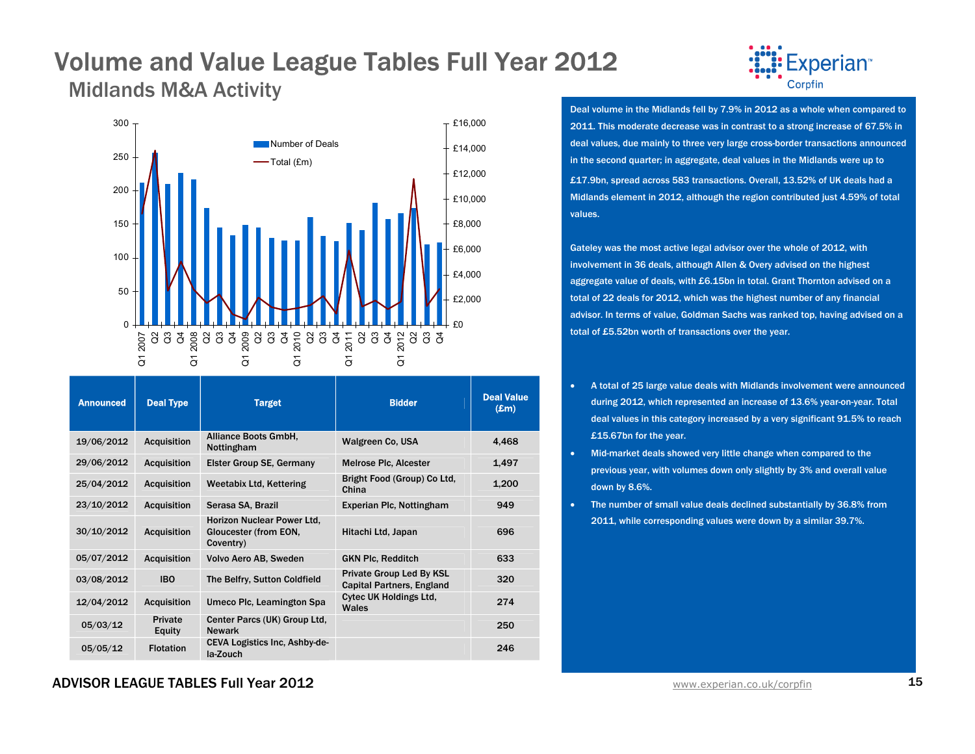### Volume and Value League Tables Full Year 2012 Midlands M&A Activity



| <b>Announced</b> | <b>Deal Type</b>   | <b>Target</b>                                                    | <b>Bidder</b>                                                       | <b>Deal Value</b><br>$(\mathbf{Em})$ |
|------------------|--------------------|------------------------------------------------------------------|---------------------------------------------------------------------|--------------------------------------|
| 19/06/2012       | <b>Acquisition</b> | Alliance Boots GmbH,<br>Nottingham                               | <b>Walgreen Co. USA</b>                                             | 4.468                                |
| 29/06/2012       | <b>Acquisition</b> | <b>Elster Group SE, Germany</b>                                  | <b>Melrose Plc, Alcester</b>                                        | 1,497                                |
| 25/04/2012       | <b>Acquisition</b> | <b>Weetabix Ltd, Kettering</b>                                   | Bright Food (Group) Co Ltd,<br>China                                | 1,200                                |
| 23/10/2012       | <b>Acquisition</b> | Serasa SA, Brazil                                                | Experian Plc, Nottingham                                            | 949                                  |
| 30/10/2012       | <b>Acquisition</b> | Horizon Nuclear Power Ltd.<br>Gloucester (from EON,<br>Coventry) | Hitachi Ltd, Japan                                                  | 696                                  |
| 05/07/2012       | <b>Acquisition</b> | Volvo Aero AB, Sweden                                            | <b>GKN Plc, Redditch</b>                                            | 633                                  |
| 03/08/2012       | <b>IBO</b>         | The Belfry, Sutton Coldfield                                     | <b>Private Group Led By KSL</b><br><b>Capital Partners, England</b> | 320                                  |
| 12/04/2012       | <b>Acquisition</b> | Umeco Plc, Leamington Spa                                        | <b>Cytec UK Holdings Ltd.</b><br>Wales                              | 274                                  |
| 05/03/12         | Private<br>Equity  | Center Parcs (UK) Group Ltd.<br><b>Newark</b>                    |                                                                     | 250                                  |
| 05/05/12         | <b>Flotation</b>   | CEVA Logistics Inc. Ashby-de-<br>la-Zouch                        |                                                                     | 246                                  |



Deal volume in the Midlands fell by 7.9% in 2012 as a whole when compared to 2011. This moderate decrease was in contrast to a strong increase of 67.5% in deal values, due mainly to three very large cross-border transactions announced in the second quarter; in aggregate, deal values in the Midlands were up to £17.9bn, spread across 583 transactions. Overall, 13.52% of UK deals had a Midlands element in 2012, although the region contributed just 4.59% of total values.

Gateley was the most active legal advisor over the whole of 2012, with involvement in 36 deals, although Allen & Overy advised on the highest aggregate value of deals, with £6.15bn in total. Grant Thornton advised on a total of 22 deals for 2012, which was the highest number of any financial advisor. In terms of value, Goldman Sachs was ranked top, having advised on a total of £5.52bn worth of transactions over the year.

- • A total of 25 large value deals with Midlands involvement were announced during 2012, which represented an increase of 13.6% year-on-year. Total deal values in this category increased by a very significant 91.5% to reach £15.67bn for the year.
- • Mid-market deals showed very little change when compared to the previous year, with volumes down only slightly by 3% and overall value down by 8.6%.
- • The number of small value deals declined substantially by 36.8% from 2011, while corresponding values were down by a similar 39.7%.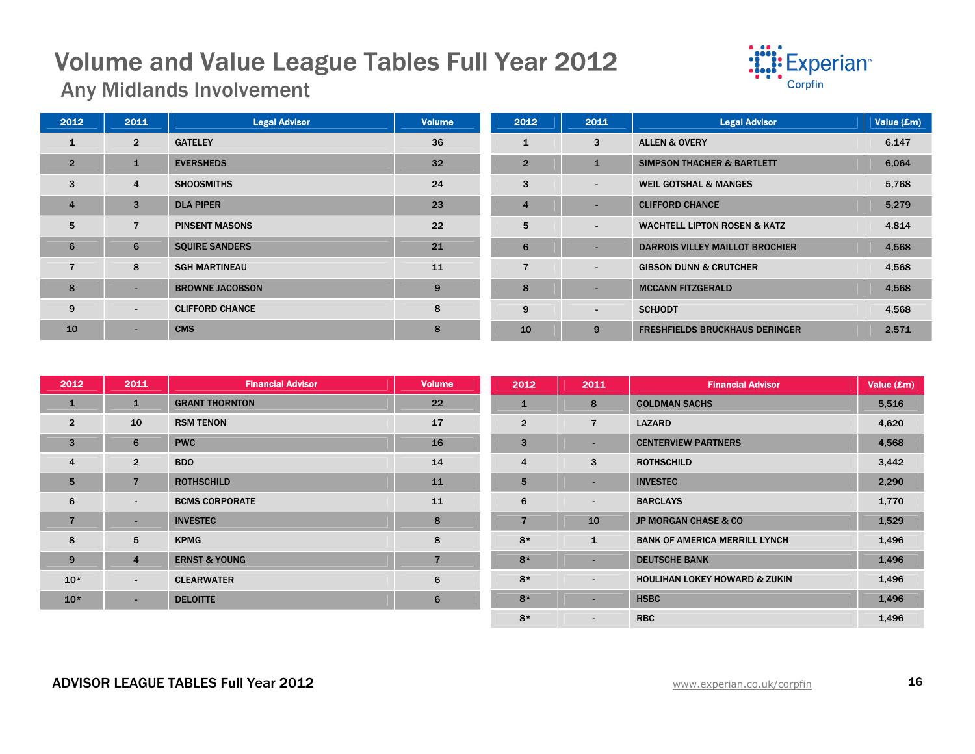

Any Midlands Involvement

| 2012           | 2011           | <b>Legal Advisor</b>   | <b>Volume</b> | 2012           | 2011                     | <b>Legal Advisor</b>                    | Value (£m) |
|----------------|----------------|------------------------|---------------|----------------|--------------------------|-----------------------------------------|------------|
| $\mathbf{1}$   | $\overline{2}$ | <b>GATELEY</b>         | 36            | 1              | 3                        | <b>ALLEN &amp; OVERY</b>                | 6,147      |
| $\overline{2}$ | $\mathbf{1}$   | <b>EVERSHEDS</b>       | 32            | $\overline{2}$ | $\mathbf{1}$             | <b>SIMPSON THACHER &amp; BARTLETT</b>   | 6,064      |
| 3              | 4              | <b>SHOOSMITHS</b>      | 24            | 3              | $\sim$                   | <b>WEIL GOTSHAL &amp; MANGES</b>        | 5,768      |
| $\overline{4}$ | 3              | <b>DLA PIPER</b>       | 23            | $\overline{4}$ | $\sim$                   | <b>CLIFFORD CHANCE</b>                  | 5,279      |
| 5              | $\overline{7}$ | <b>PINSENT MASONS</b>  | 22            | 5              | $\overline{\phantom{a}}$ | <b>WACHTELL LIPTON ROSEN &amp; KATZ</b> | 4,814      |
| 6              | 6              | <b>SQUIRE SANDERS</b>  | 21            | 6              | $\overline{\phantom{a}}$ | <b>DARROIS VILLEY MAILLOT BROCHIER</b>  | 4,568      |
| $\overline{7}$ | 8              | <b>SGH MARTINEAU</b>   | 11            | 7              | $\sim$                   | <b>GIBSON DUNN &amp; CRUTCHER</b>       | 4,568      |
| 8              | -              | <b>BROWNE JACOBSON</b> | 9             | 8              | $\overline{\phantom{a}}$ | <b>MCCANN FITZGERALD</b>                | 4,568      |
| 9              | $\sim$         | <b>CLIFFORD CHANCE</b> | 8             | 9              | $\blacksquare$           | <b>SCHJODT</b>                          | 4,568      |
| 10             | -              | <b>CMS</b>             | 8             | 10             | 9                        | <b>FRESHFIELDS BRUCKHAUS DERINGER</b>   | 2,571      |

| 2012           | 2011           | <b>Financial Advisor</b> | <b>Volume</b>  | 2012           | 2011                     | <b>Financial Advisor</b>                 | Value (£m) |
|----------------|----------------|--------------------------|----------------|----------------|--------------------------|------------------------------------------|------------|
| $\mathbf{1}$   | $\mathbf{1}$   | <b>GRANT THORNTON</b>    | 22             | $\mathbf{1}$   | 8                        | <b>GOLDMAN SACHS</b>                     | 5,516      |
| $\overline{2}$ | 10             | <b>RSM TENON</b>         | 17             | $\overline{2}$ | $\overline{7}$           | <b>LAZARD</b>                            | 4,620      |
| 3              | 6              | <b>PWC</b>               | 16             | 3              | $\overline{\phantom{0}}$ | <b>CENTERVIEW PARTNERS</b>               | 4,568      |
| $\overline{4}$ | $\overline{2}$ | BDO                      | 14             | 4              | 3                        | <b>ROTHSCHILD</b>                        | 3,442      |
| 5              | $\overline{7}$ | <b>ROTHSCHILD</b>        | 11             | 5              | $\blacksquare$           | <b>INVESTEC</b>                          | 2,290      |
| 6              | $\sim$         | <b>BCMS CORPORATE</b>    | 11             | 6              | $\overline{\phantom{a}}$ | <b>BARCLAYS</b>                          | 1,770      |
| $\overline{7}$ | н.             | <b>INVESTEC</b>          | 8              | $\overline{7}$ | 10                       | <b>JP MORGAN CHASE &amp; CO</b>          | 1,529      |
| 8              | 5              | <b>KPMG</b>              | 8              | $8*$           | $\mathbf{1}$             | <b>BANK OF AMERICA MERRILL LYNCH</b>     | 1,496      |
| 9              | $\overline{4}$ | <b>ERNST &amp; YOUNG</b> | $\overline{7}$ | $8*$           | $\overline{\phantom{a}}$ | <b>DEUTSCHE BANK</b>                     | 1,496      |
| $10*$          | $\sim$         | <b>CLEARWATER</b>        | 6              | $8*$           | $\overline{\phantom{a}}$ | <b>HOULIHAN LOKEY HOWARD &amp; ZUKIN</b> | 1,496      |
| $10*$          | н.             | <b>DELOITTE</b>          | 6              | $8*$           | $\blacksquare$           | <b>HSBC</b>                              | 1,496      |
|                |                |                          |                | $8*$           | $\overline{\phantom{a}}$ | <b>RBC</b>                               | 1,496      |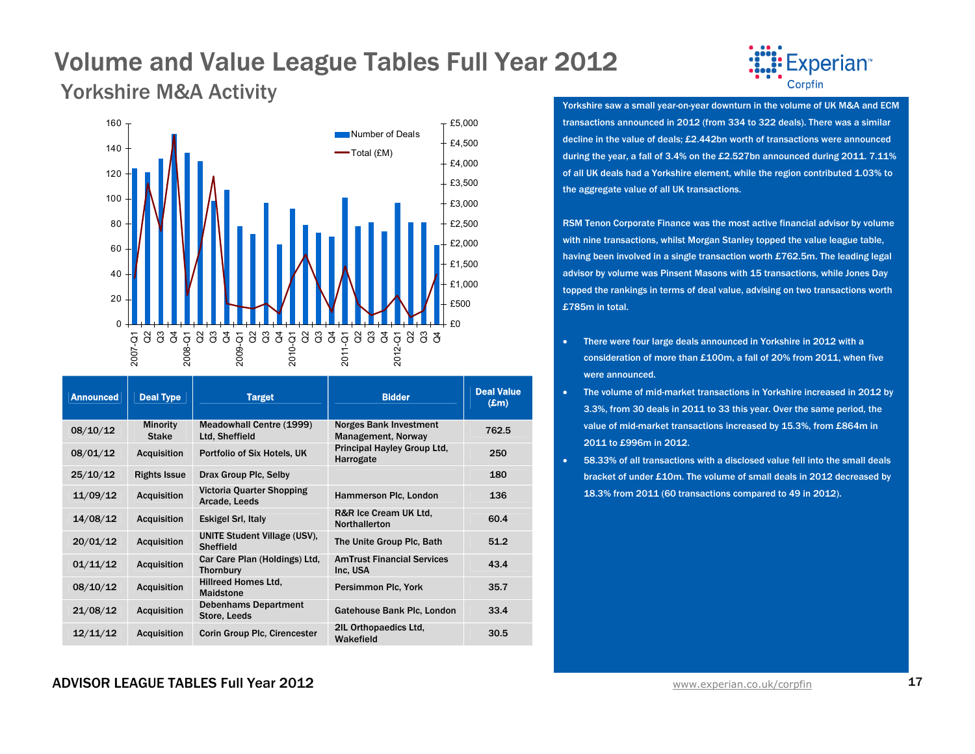Yorkshire M&A Activity The View Activity Corpfin Corpfin Corpfin Corpfin Corpfin



| <b>Announced</b> | <b>Deal Type</b>                | <b>Target</b>                                           | <b>Bidder</b>                                       | <b>Deal Value</b><br>$(\mathbf{E}$ m $)$ |
|------------------|---------------------------------|---------------------------------------------------------|-----------------------------------------------------|------------------------------------------|
| 08/10/12         | <b>Minority</b><br><b>Stake</b> | <b>Meadowhall Centre (1999)</b><br>Ltd, Sheffield       | <b>Norges Bank Investment</b><br>Management, Norway | 762.5                                    |
| 08/01/12         | <b>Acquisition</b>              | Portfolio of Six Hotels, UK                             | Principal Hayley Group Ltd.<br>Harrogate            | 250                                      |
| 25/10/12         | <b>Rights Issue</b>             | Drax Group Plc, Selby                                   |                                                     | 180                                      |
| 11/09/12         | <b>Acquisition</b>              | Victoria Quarter Shopping<br>Arcade, Leeds              | Hammerson Plc, London                               | 136                                      |
| 14/08/12         | <b>Acquisition</b>              | Eskigel Srl, Italy                                      | R&R Ice Cream UK Ltd.<br><b>Northallerton</b>       | 60.4                                     |
| 20/01/12         | <b>Acquisition</b>              | <b>UNITE Student Village (USV).</b><br><b>Sheffield</b> | The Unite Group Plc, Bath                           | 51.2                                     |
| 01/11/12         | <b>Acquisition</b>              | Car Care Plan (Holdings) Ltd.<br><b>Thornbury</b>       | <b>AmTrust Financial Services</b><br>Inc. USA       | 43.4                                     |
| 08/10/12         | <b>Acquisition</b>              | Hillreed Homes Ltd.<br><b>Maidstone</b>                 | Persimmon Plc, York                                 | 35.7                                     |
| 21/08/12         | <b>Acquisition</b>              | <b>Debenhams Department</b><br>Store, Leeds             | Gatehouse Bank Plc, London                          | 33.4                                     |
| 12/11/12         | <b>Acquisition</b>              | <b>Corin Group Plc, Cirencester</b>                     | 2IL Orthopaedics Ltd.<br>Wakefield                  | 30.5                                     |



transactions announced in 2012 (from 334 to 322 deals). There was a similar decline in the value of deals; £2.442bn worth of transactions were announced during the year, a fall of 3.4% on the £2.527bn announced during 2011. 7.11% of all UK deals had a Yorkshire element, while the region contributed 1.03% to the aggregate value of all UK transactions.

RSM Tenon Corporate Finance was the most active financial advisor by volume with nine transactions, whilst Morgan Stanley topped the value league table, having been involved in a single transaction worth £762.5m. The leading legal advisor by volume was Pinsent Masons with 15 transactions, while Jones Day topped the rankings in terms of deal value, advising on two transactions worth £785m in total.

- • There were four large deals announced in Yorkshire in 2012 with a consideration of more than £100m, a fall of 20% from 2011, when five were announced.
- • The volume of mid-market transactions in Yorkshire increased in 2012 by 3.3%, from 30 deals in 2011 to 33 this year. Over the same period, the value of mid-market transactions increased by 15.3%, from £864m in 2011 to £996m in 2012.
- • 58.33% of all transactions with a disclosed value fell into the small deals bracket of under £10m. The volume of small deals in 2012 decreased by 18.3% from 2011 (60 transactions compared to 49 in 2012).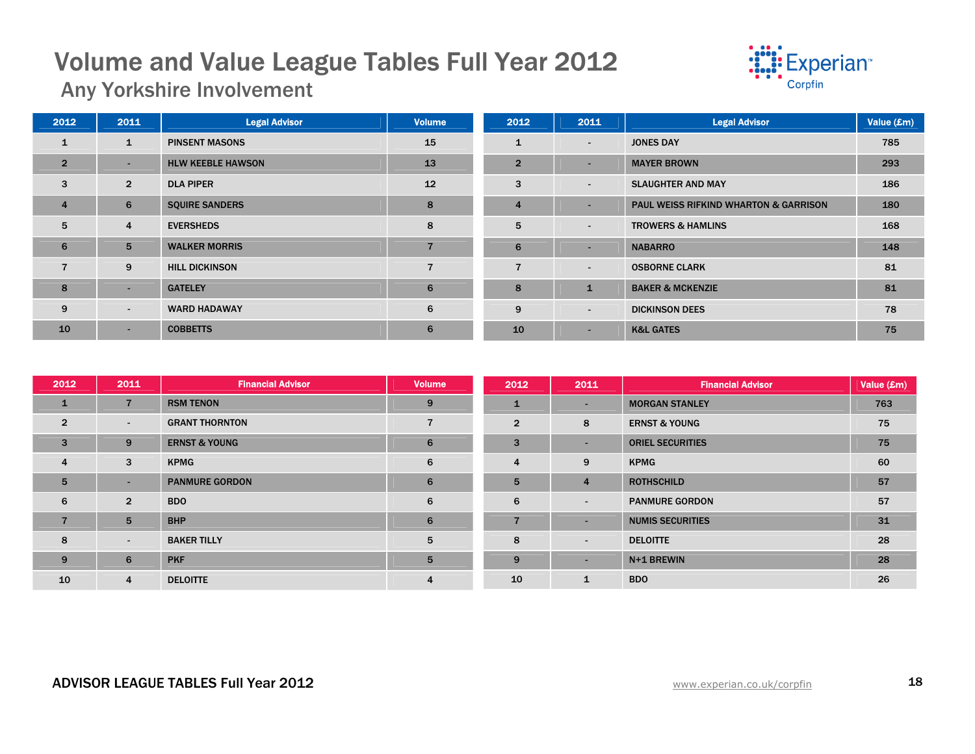

Any Yorkshire Involvement

| 2012           | 2011           | <b>Legal Advisor</b>     | <b>Volume</b>  | 2012            | 2011           | <b>Legal Advisor</b>                             | Value (£m) |
|----------------|----------------|--------------------------|----------------|-----------------|----------------|--------------------------------------------------|------------|
| $\mathbf{1}$   | 1              | <b>PINSENT MASONS</b>    | 15             | $\mathbf{1}$    | $\sim$         | <b>JONES DAY</b>                                 | 785        |
| $\overline{2}$ | ۰.             | <b>HLW KEEBLE HAWSON</b> | 13             | $\overline{2}$  | $\sim$         | <b>MAYER BROWN</b>                               | 293        |
| 3              | $\overline{2}$ | <b>DLA PIPER</b>         | 12             | 3               | $\sim$         | <b>SLAUGHTER AND MAY</b>                         | 186        |
| $\overline{4}$ | 6              | <b>SQUIRE SANDERS</b>    | 8              | $\overline{4}$  | $\sim$         | <b>PAUL WEISS RIFKIND WHARTON &amp; GARRISON</b> | 180        |
| 5              | 4              | <b>EVERSHEDS</b>         | 8              | 5               | $\blacksquare$ | <b>TROWERS &amp; HAMLINS</b>                     | 168        |
| 6              | 5              | <b>WALKER MORRIS</b>     |                | $6\phantom{1}6$ | $\sim$         | <b>NABARRO</b>                                   | 148        |
| $\overline{7}$ | 9              | <b>HILL DICKINSON</b>    | $\overline{7}$ | $\overline{7}$  | $\sim$         | <b>OSBORNE CLARK</b>                             | 81         |
| 8              | ۰.             | <b>GATELEY</b>           | 6              | 8               | $\mathbf{1}$   | <b>BAKER &amp; MCKENZIE</b>                      | 81         |
| 9              | ٠.             | <b>WARD HADAWAY</b>      | 6              | 9               | $\sim$         | <b>DICKINSON DEES</b>                            | 78         |
| 10             | ۰.             | <b>COBBETTS</b>          | 6              | 10              | $\sim$         | <b>K&amp;L GATES</b>                             | 75         |

| 2012           | 2011           | <b>Financial Advisor</b> | <b>Volume</b>  | 2012           | 2011                     | <b>Financial Advisor</b> | Value (£m) |
|----------------|----------------|--------------------------|----------------|----------------|--------------------------|--------------------------|------------|
| $\mathbf{1}$   | 7              | <b>RSM TENON</b>         | 9              | $\mathbf{1}$   | $\sim$                   | <b>MORGAN STANLEY</b>    | 763        |
| $\overline{2}$ | $\sim$         | <b>GRANT THORNTON</b>    | 7              | $\overline{2}$ | 8                        | <b>ERNST &amp; YOUNG</b> | 75         |
| 3              | 9              | <b>ERNST &amp; YOUNG</b> | 6              | 3              | $\overline{\phantom{a}}$ | <b>ORIEL SECURITIES</b>  | 75         |
| $\overline{4}$ | 3              | <b>KPMG</b>              | 6              | $\overline{4}$ | 9                        | <b>KPMG</b>              | 60         |
| 5              | ۰.             | <b>PANMURE GORDON</b>    | 6              | 5              | $\overline{4}$           | <b>ROTHSCHILD</b>        | 57         |
| 6              | $\overline{2}$ | <b>BDO</b>               | 6              | 6              | $\overline{\phantom{a}}$ | <b>PANMURE GORDON</b>    | 57         |
| $\overline{7}$ | 5              | <b>BHP</b>               | 6              |                | $\overline{\phantom{a}}$ | <b>NUMIS SECURITIES</b>  | 31         |
| 8              | $\sim$         | <b>BAKER TILLY</b>       | 5              | 8              | $\blacksquare$           | <b>DELOITTE</b>          | 28         |
| 9              | 6              | <b>PKF</b>               | 5              | 9              | $\overline{\phantom{0}}$ | N+1 BREWIN               | 28         |
| 10             | 4              | <b>DELOITTE</b>          | $\overline{4}$ | 10             | $\mathbf{1}$             | <b>BDO</b>               | 26         |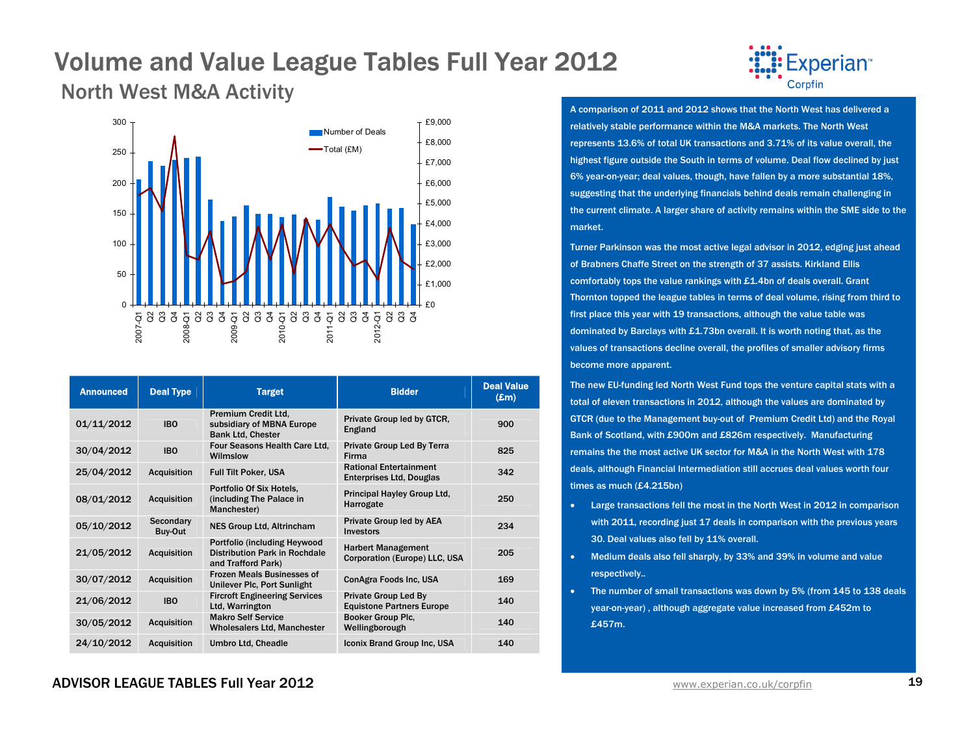### North West M&A Activity



| <b>Announced</b> | <b>Deal Type</b>     | <b>Target</b>                                                                               | <b>Bidder</b>                                                    | <b>Deal Value</b><br>$(\pmb{\pounds}m)$ |
|------------------|----------------------|---------------------------------------------------------------------------------------------|------------------------------------------------------------------|-----------------------------------------|
| 01/11/2012       | <b>IBO</b>           | Premium Credit Ltd.<br>subsidiary of MBNA Europe<br><b>Bank Ltd, Chester</b>                | Private Group led by GTCR,<br>England                            | 900                                     |
| 30/04/2012       | <b>IBO</b>           | Four Seasons Health Care Ltd.<br>Wilmslow                                                   | Private Group Led By Terra<br>Firma                              | 825                                     |
| 25/04/2012       | <b>Acquisition</b>   | <b>Full Tilt Poker, USA</b>                                                                 | <b>Rational Entertainment</b><br><b>Enterprises Ltd, Douglas</b> | 342                                     |
| 08/01/2012       | <b>Acquisition</b>   | Portfolio Of Six Hotels,<br>(including The Palace in<br>Manchester)                         | Principal Hayley Group Ltd.<br>Harrogate                         | 250                                     |
| 05/10/2012       | Secondary<br>Buy-Out | <b>NES Group Ltd. Altrincham</b>                                                            | Private Group led by AEA<br>Investors                            | 234                                     |
| 21/05/2012       | <b>Acquisition</b>   | <b>Portfolio (including Heywood)</b><br>Distribution Park in Rochdale<br>and Trafford Park) | <b>Harbert Management</b><br>Corporation (Europe) LLC, USA       | 205                                     |
| 30/07/2012       | Acquisition          | <b>Frozen Meals Businesses of</b><br>Unilever Plc, Port Sunlight                            | ConAgra Foods Inc. USA                                           | 169                                     |
| 21/06/2012       | <b>IBO</b>           | <b>Fircroft Engineering Services</b><br>Ltd, Warrington                                     | <b>Private Group Led By</b><br><b>Equistone Partners Europe</b>  | 140                                     |
| 30/05/2012       | <b>Acquisition</b>   | <b>Makro Self Service</b><br><b>Wholesalers Ltd, Manchester</b>                             | Booker Group Plc.<br>Wellingborough                              | 140                                     |
| 24/10/2012       | <b>Acquisition</b>   | <b>Umbro Ltd. Cheadle</b>                                                                   | Iconix Brand Group Inc, USA                                      | 140                                     |



A comparison of 2011 and 2012 shows that the North West has delivered a relatively stable performance within the M&A markets. The North West represents 13.6% of total UK transactions and 3.71% of its value overall, the highest figure outside the South in terms of volume. Deal flow declined by just 6% year-on-year; deal values, though, have fallen by a more substantial 18%, suggesting that the underlying financials behind deals remain challenging in the current climate. A larger share of activity remains within the SME side to the market.

Turner Parkinson was the most active legal advisor in 2012, edging just ahead of Brabners Chaffe Street on the strength of 37 assists. Kirkland Ellis comfortably tops the value rankings with £1.4bn of deals overall. Grant Thornton topped the league tables in terms of deal volume, rising from third to first place this year with 19 transactions, although the value table was dominated by Barclays with £1.73bn overall. It is worth noting that, as the values of transactions decline overall, the profiles of smaller advisory firms become more apparent.

The new EU-funding led North West Fund tops the venture capital stats with a total of eleven transactions in 2012, although the values are dominated by GTCR (due to the Management buy-out of Premium Credit Ltd) and the Royal Bank of Scotland, with £900m and £826m respectively. Manufacturing remains the the most active UK sector for M&A in the North West with 178 deals, although Financial Intermediation still accrues deal values worth four times as much (£4.215bn)

- Large transactions fell the most in the North West in 2012 in comparison with 2011, recording just 17 deals in comparison with the previous years 30. Deal values also fell by 11% overall.
- Medium deals also fell sharply, by 33% and 39% in volume and value respectively..
- The number of small transactions was down by 5% (from 145 to 138 deals year-on-year) , although aggregate value increased from £452m to £457m.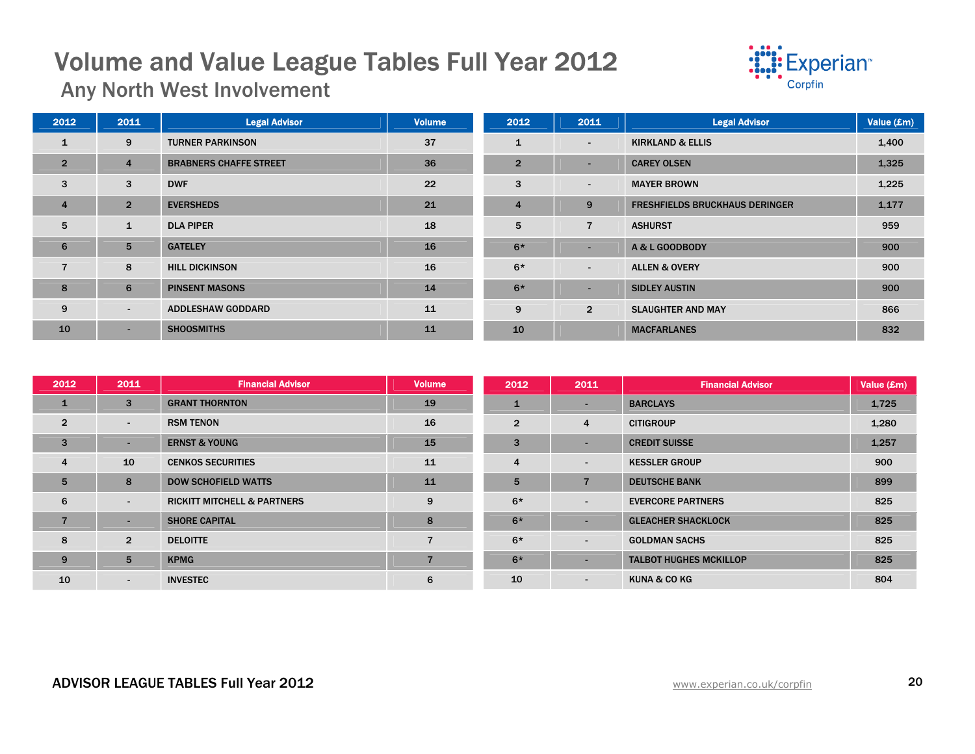

Any North West Involvement

| 2012           | 2011           | <b>Legal Advisor</b>          | <b>Volume</b> | 2012           | 2011                     | <b>Legal Advisor</b>                  | Value (£m) |
|----------------|----------------|-------------------------------|---------------|----------------|--------------------------|---------------------------------------|------------|
| $\mathbf{1}$   | 9              | <b>TURNER PARKINSON</b>       | 37            | $\mathbf{1}$   | $\sim$                   | <b>KIRKLAND &amp; ELLIS</b>           | 1,400      |
| $\overline{2}$ | $\overline{4}$ | <b>BRABNERS CHAFFE STREET</b> | 36            | $\overline{2}$ | $\sim$                   | <b>CAREY OLSEN</b>                    | 1,325      |
| 3              | 3              | <b>DWF</b>                    | 22            | 3              | $\sim$                   | <b>MAYER BROWN</b>                    | 1,225      |
| $\overline{4}$ | $\overline{2}$ | <b>EVERSHEDS</b>              | 21            | $\overline{4}$ | 9                        | <b>FRESHFIELDS BRUCKHAUS DERINGER</b> | 1,177      |
| 5              | 1              | <b>DLA PIPER</b>              | 18            | 5              | $\overline{7}$           | <b>ASHURST</b>                        | 959        |
| 6              | 5              | <b>GATELEY</b>                | 16            | $6*$           | н.                       | A & L GOODBODY                        | 900        |
| $\overline{7}$ | 8              | <b>HILL DICKINSON</b>         | 16            | $6*$           | $\overline{\phantom{a}}$ | <b>ALLEN &amp; OVERY</b>              | 900        |
| 8              | 6              | <b>PINSENT MASONS</b>         | 14            | $6*$           | н.                       | <b>SIDLEY AUSTIN</b>                  | 900        |
| 9              | $\sim$         | <b>ADDLESHAW GODDARD</b>      | 11            | 9              | $\overline{2}$           | <b>SLAUGHTER AND MAY</b>              | 866        |
| 10             | $\sim$         | <b>SHOOSMITHS</b>             | 11            | 10             |                          | <b>MACFARLANES</b>                    | 832        |

| 2012           | 2011                     | <b>Financial Advisor</b>               | <b>Volume</b>  | 2012           | 2011                     | <b>Financial Advisor</b>      | Value (£m) |
|----------------|--------------------------|----------------------------------------|----------------|----------------|--------------------------|-------------------------------|------------|
| $\mathbf{1}$   | 3                        | <b>GRANT THORNTON</b>                  | 19             |                | $\overline{\phantom{a}}$ | <b>BARCLAYS</b>               | 1,725      |
| $\overline{2}$ | $\overline{\phantom{a}}$ | <b>RSM TENON</b>                       | 16             | $\overline{2}$ | $\overline{4}$           | <b>CITIGROUP</b>              | 1,280      |
| $\mathbf{3}$   | н.                       | <b>ERNST &amp; YOUNG</b>               | 15             | 3              | $\overline{\phantom{a}}$ | <b>CREDIT SUISSE</b>          | 1,257      |
| $\overline{4}$ | 10                       | <b>CENKOS SECURITIES</b>               | 11             | $\overline{4}$ | $\overline{\phantom{a}}$ | <b>KESSLER GROUP</b>          | 900        |
| 5              | 8                        | <b>DOW SCHOFIELD WATTS</b>             | 11             | 5              | $\overline{7}$           | <b>DEUTSCHE BANK</b>          | 899        |
| 6              | $\overline{\phantom{a}}$ | <b>RICKITT MITCHELL &amp; PARTNERS</b> | 9              | $6*$           | $\blacksquare$           | <b>EVERCORE PARTNERS</b>      | 825        |
| $\overline{7}$ | $\sim$                   | <b>SHORE CAPITAL</b>                   | 8              | $6*$           | $\overline{\phantom{0}}$ | <b>GLEACHER SHACKLOCK</b>     | 825        |
| 8              | $\overline{2}$           | <b>DELOITTE</b>                        | 7              | $6*$           | $\sim$                   | <b>GOLDMAN SACHS</b>          | 825        |
| 9              | 5                        | <b>KPMG</b>                            | $\overline{7}$ | $6*$           | $\overline{\phantom{a}}$ | <b>TALBOT HUGHES MCKILLOP</b> | 825        |
| 10             | $\sim$                   | <b>INVESTEC</b>                        | 6              | 10             | $\sim$                   | <b>KUNA &amp; CO KG</b>       | 804        |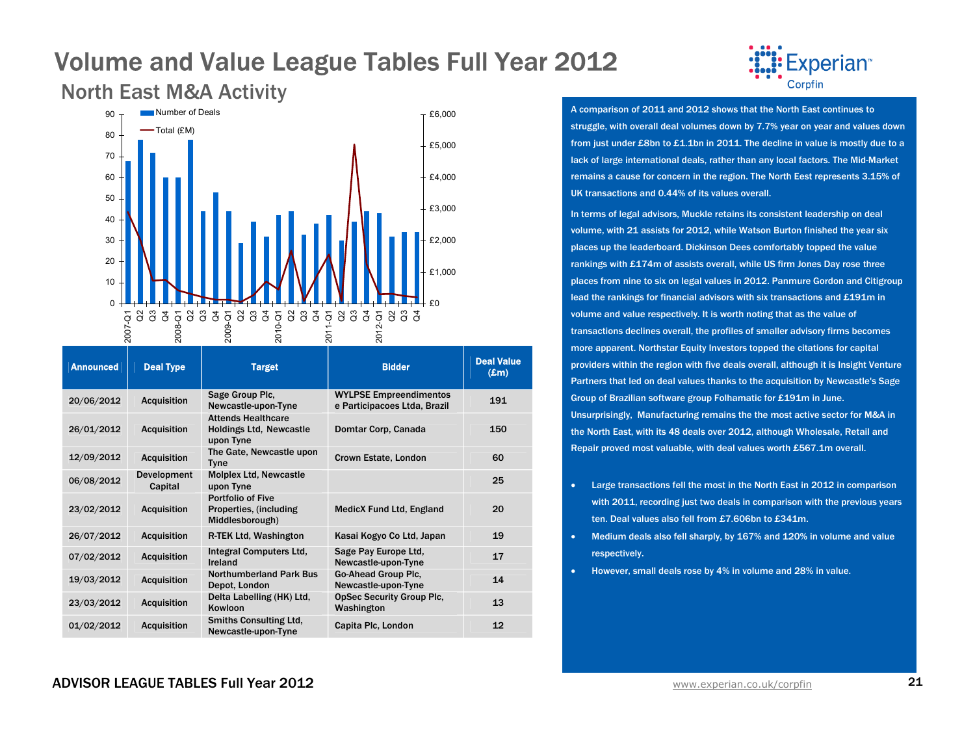### North East M&A Activity



| <b>Announced</b> | <b>Deal Type</b>              | <b>Target</b>                                                            | <b>Bidder</b>                                                 | <b>Deal Value</b><br>$(\mathbf{Em})$ |
|------------------|-------------------------------|--------------------------------------------------------------------------|---------------------------------------------------------------|--------------------------------------|
| 20/06/2012       | <b>Acquisition</b>            | Sage Group Plc.<br>Newcastle-upon-Tyne                                   | <b>WYLPSE Empreendimentos</b><br>e Participacoes Ltda, Brazil | 191                                  |
| 26/01/2012       | <b>Acquisition</b>            | <b>Attends Healthcare</b><br><b>Holdings Ltd, Newcastle</b><br>upon Tyne | Domtar Corp, Canada                                           | 150                                  |
| 12/09/2012       | <b>Acquisition</b>            | The Gate, Newcastle upon<br><b>Tyne</b>                                  | Crown Estate, London                                          | 60                                   |
| 06/08/2012       | <b>Development</b><br>Capital | <b>Molplex Ltd, Newcastle</b><br>upon Tyne                               |                                                               | 25                                   |
| 23/02/2012       | <b>Acquisition</b>            | <b>Portfolio of Five</b><br>Properties, (including<br>Middlesborough)    | <b>MedicX Fund Ltd, England</b>                               | 20                                   |
| 26/07/2012       | <b>Acquisition</b>            | R-TEK Ltd. Washington                                                    | Kasai Kogyo Co Ltd, Japan                                     | 19                                   |
| 07/02/2012       | <b>Acquisition</b>            | Integral Computers Ltd.<br>Ireland                                       | Sage Pay Europe Ltd.<br>Newcastle-upon-Tyne                   | 17                                   |
| 19/03/2012       | <b>Acquisition</b>            | <b>Northumberland Park Bus</b><br>Depot, London                          | Go-Ahead Group Plc.<br>Newcastle-upon-Tyne                    | 14                                   |
| 23/03/2012       | <b>Acquisition</b>            | Delta Labelling (HK) Ltd,<br>Kowloon                                     | <b>OpSec Security Group Plc.</b><br>Washington                | 13                                   |
| 01/02/2012       | <b>Acquisition</b>            | <b>Smiths Consulting Ltd.</b><br>Newcastle-upon-Tyne                     | Capita Plc, London                                            | 12                                   |



A comparison of 2011 and 2012 shows that the North East continues to struggle, with overall deal volumes down by 7.7% year on year and values down from just under £8bn to £1.1bn in 2011. The decline in value is mostly due to a lack of large international deals, rather than any local factors. The Mid-Market remains a cause for concern in the region. The North Eest represents 3.15% of UK transactions and 0.44% of its values overall.

In terms of legal advisors, Muckle retains its consistent leadership on deal volume, with 21 assists for 2012, while Watson Burton finished the year six places up the leaderboard. Dickinson Dees comfortably topped the value rankings with £174m of assists overall, while US firm Jones Day rose three places from nine to six on legal values in 2012. Panmure Gordon and Citigroup lead the rankings for financial advisors with six transactions and £191m in volume and value respectively. It is worth noting that as the value of transactions declines overall, the profiles of smaller advisory firms becomes more apparent. Northstar Equity Investors topped the citations for capital providers within the region with five deals overall, although it is Insight Venture Partners that led on deal values thanks to the acquisition by Newcastle's Sage Group of Brazilian software group Folhamatic for £191m in June. Unsurprisingly, Manufacturing remains the the most active sector for M&A in the North East, with its 48 deals over 2012, although Wholesale, Retail and Repair proved most valuable, with deal values worth £567.1m overall.

- • Large transactions fell the most in the North East in 2012 in comparison with 2011, recording just two deals in comparison with the previous years ten. Deal values also fell from £7.606bn to £341m.
- • Medium deals also fell sharply, by 167% and 120% in volume and value respectively.
- •However, small deals rose by 4% in volume and 28% in value.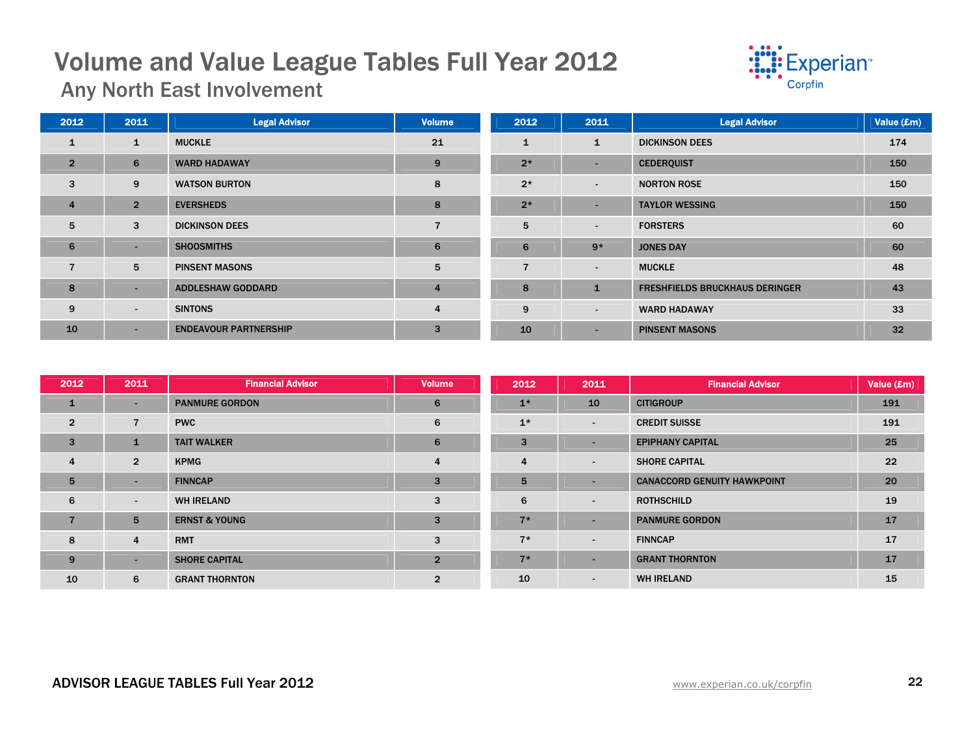

Any North East Involvement

| 2012           | 2011                     | <b>Legal Advisor</b>         | <b>Volume</b>  | 2012           | 2011         | <b>Legal Advisor</b>                  | Value (£m) |
|----------------|--------------------------|------------------------------|----------------|----------------|--------------|---------------------------------------|------------|
| 1              | $\mathbf{1}$             | <b>MUCKLE</b>                | 21             | 1              | $\mathbf{1}$ | <b>DICKINSON DEES</b>                 | 174        |
| $\overline{2}$ | 6                        | <b>WARD HADAWAY</b>          | 9              | $2*$           | $\sim$       | <b>CEDERQUIST</b>                     | 150        |
| 3              | 9                        | <b>WATSON BURTON</b>         | 8              | $2*$           | $\sim$       | <b>NORTON ROSE</b>                    | 150        |
| $\overline{4}$ | 2 <sup>1</sup>           | <b>EVERSHEDS</b>             | 8              | $2*$           | $\sim$       | <b>TAYLOR WESSING</b>                 | 150        |
| 5              | 3                        | <b>DICKINSON DEES</b>        | $\overline{7}$ | 5              | $\sim$       | <b>FORSTERS</b>                       | 60         |
| 6              | $\overline{\phantom{0}}$ | <b>SHOOSMITHS</b>            | 6              | 6              | $9*$         | <b>JONES DAY</b>                      | 60         |
| 7              | 5                        | <b>PINSENT MASONS</b>        | 5              | $\overline{7}$ | $\sim$       | <b>MUCKLE</b>                         | 48         |
| 8              | $\sim$                   | <b>ADDLESHAW GODDARD</b>     | $\overline{4}$ | 8              | $\mathbf{1}$ | <b>FRESHFIELDS BRUCKHAUS DERINGER</b> | 43         |
| 9              | $\sim$                   | <b>SINTONS</b>               | $\overline{4}$ | 9              | $\sim$       | <b>WARD HADAWAY</b>                   | 33         |
| 10             | н.                       | <b>ENDEAVOUR PARTNERSHIP</b> | 3              | 10             | $\sim$       | <b>PINSENT MASONS</b>                 | 32         |

| 2012           | 2011                     | <b>Financial Advisor</b> | <b>Volume</b>  | 2012           | 2011                     | <b>Financial Advisor</b>           | Value $(\pmb{\pounds} \mathbf{m})$ |
|----------------|--------------------------|--------------------------|----------------|----------------|--------------------------|------------------------------------|------------------------------------|
| $\mathbf{1}$   | ۰.                       | <b>PANMURE GORDON</b>    | 6              | $1*$           | 10                       | <b>CITIGROUP</b>                   | 191                                |
| $\overline{2}$ | $\overline{7}$           | <b>PWC</b>               | 6              | $1*$           | $\sim$                   | <b>CREDIT SUISSE</b>               | 191                                |
| 3              |                          | <b>TAIT WALKER</b>       | $6\phantom{1}$ | 3              | $\blacksquare$           | <b>EPIPHANY CAPITAL</b>            | 25                                 |
| $\overline{4}$ | $\overline{2}$           | <b>KPMG</b>              | 4              | $\overline{4}$ | $\overline{\phantom{a}}$ | <b>SHORE CAPITAL</b>               | 22                                 |
| 5              | $\overline{\phantom{a}}$ | <b>FINNCAP</b>           | 3              | 5              | $\overline{\phantom{a}}$ | <b>CANACCORD GENUITY HAWKPOINT</b> | 20                                 |
| 6              | $\sim$                   | <b>WH IRELAND</b>        | 3              | 6              | $\overline{\phantom{a}}$ | <b>ROTHSCHILD</b>                  | 19                                 |
| $\overline{7}$ | 5                        | <b>ERNST &amp; YOUNG</b> | 3              | $7*$           | $\blacksquare$           | <b>PANMURE GORDON</b>              | 17                                 |
| 8              | 4                        | <b>RMT</b>               | 3              | $7*$           | $\sim$                   | <b>FINNCAP</b>                     | 17                                 |
| 9              | $\sim$                   | <b>SHORE CAPITAL</b>     | $\overline{2}$ | $7*$           | $\overline{\phantom{a}}$ | <b>GRANT THORNTON</b>              | 17                                 |
| 10             | 6                        | <b>GRANT THORNTON</b>    | $\overline{2}$ | 10             | $\overline{\phantom{a}}$ | <b>WH IRELAND</b>                  | 15                                 |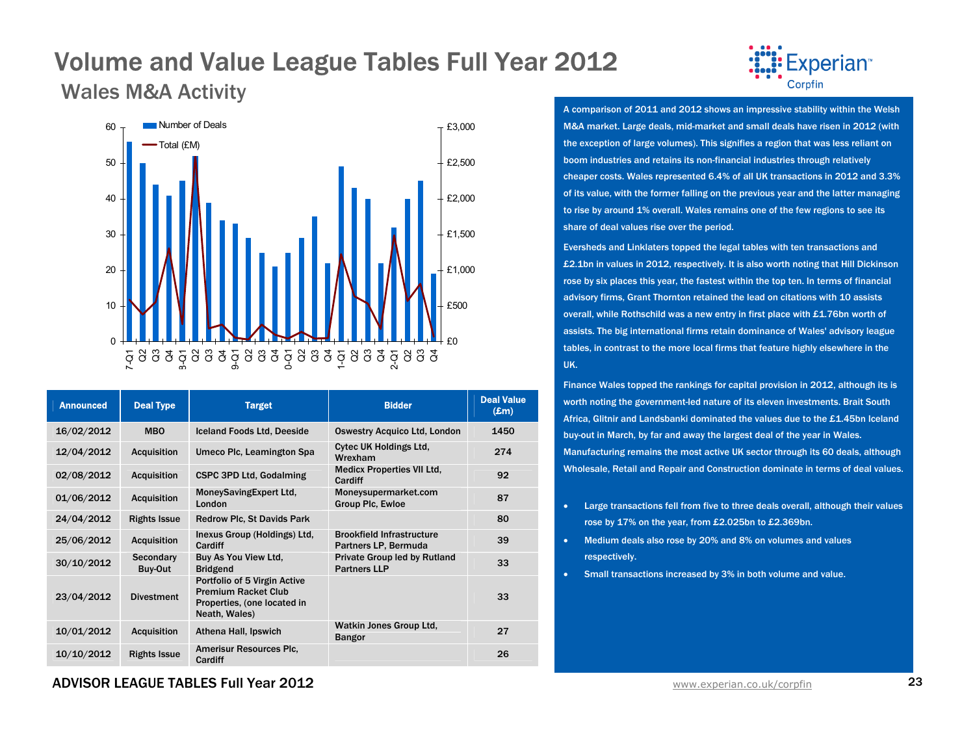Wales M&A Activity



| <b>Announced</b> | <b>Deal Type</b>     | <b>Target</b>                                                                                              | <b>Bidder</b>                                            | <b>Deal Value</b><br>$(\mathbf{E}\mathbf{m})$ |
|------------------|----------------------|------------------------------------------------------------------------------------------------------------|----------------------------------------------------------|-----------------------------------------------|
| 16/02/2012       | <b>MBO</b>           | <b>Iceland Foods Ltd, Deeside</b>                                                                          | <b>Oswestry Acquico Ltd, London</b>                      | 1450                                          |
| 12/04/2012       | <b>Acquisition</b>   | Umeco Plc, Leamington Spa                                                                                  | <b>Cytec UK Holdings Ltd,</b><br>Wrexham                 | 274                                           |
| 02/08/2012       | <b>Acquisition</b>   | <b>CSPC 3PD Ltd. Godalming</b>                                                                             | <b>Medicx Properties VII Ltd.</b><br>Cardiff             | 92                                            |
| 01/06/2012       | <b>Acquisition</b>   | MoneySavingExpert Ltd,<br>London                                                                           | Moneysupermarket.com<br>Group Plc, Ewloe                 | 87                                            |
| 24/04/2012       | <b>Rights Issue</b>  | <b>Redrow Plc, St Davids Park</b>                                                                          |                                                          | 80                                            |
| 25/06/2012       | <b>Acquisition</b>   | Inexus Group (Holdings) Ltd,<br>Cardiff                                                                    | <b>Brookfield Infrastructure</b><br>Partners LP, Bermuda | 39                                            |
| 30/10/2012       | Secondary<br>Buy-Out | Buy As You View Ltd,<br><b>Bridgend</b>                                                                    | Private Group led by Rutland<br><b>Partners LLP</b>      | 33                                            |
| 23/04/2012       | <b>Divestment</b>    | Portfolio of 5 Virgin Active<br><b>Premium Racket Club</b><br>Properties, (one located in<br>Neath, Wales) |                                                          | 33                                            |
| 10/01/2012       | <b>Acquisition</b>   | Athena Hall, Ipswich                                                                                       | Watkin Jones Group Ltd.<br><b>Bangor</b>                 | 27                                            |
| 10/10/2012       | <b>Rights Issue</b>  | <b>Amerisur Resources Plc.</b><br>Cardiff                                                                  |                                                          | 26                                            |



A comparison of 2011 and 2012 shows an impressive stability within the Welsh M&A market. Large deals, mid-market and small deals have risen in 2012 (with the exception of large volumes). This signifies a region that was less reliant on boom industries and retains its non-financial industries through relatively cheaper costs. Wales represented 6.4% of all UK transactions in 2012 and 3.3% of its value, with the former falling on the previous year and the latter managing to rise by around 1% overall. Wales remains one of the few regions to see its share of deal values rise over the period.

Eversheds and Linklaters topped the legal tables with ten transactions and £2.1bn in values in 2012, respectively. It is also worth noting that Hill Dickinson rose by six places this year, the fastest within the top ten. In terms of financial advisory firms, Grant Thornton retained the lead on citations with 10 assists overall, while Rothschild was a new entry in first place with £1.76bn worth of assists. The big international firms retain dominance of Wales' advisory league tables, in contrast to the more local firms that feature highly elsewhere in the UK.

Finance Wales topped the rankings for capital provision in 2012, although its is worth noting the government-led nature of its eleven investments. Brait South Africa, Glitnir and Landsbanki dominated the values due to the £1.45bn Iceland buy-out in March, by far and away the largest deal of the year in Wales. Manufacturing remains the most active UK sector through its 60 deals, although Wholesale, Retail and Repair and Construction dominate in terms of deal values.

- Large transactions fell from five to three deals overall, although their values rose by 17% on the year, from £2.025bn to £2.369bn.
- • Medium deals also rose by 20% and 8% on volumes and values respectively.
- •Small transactions increased by 3% in both volume and value.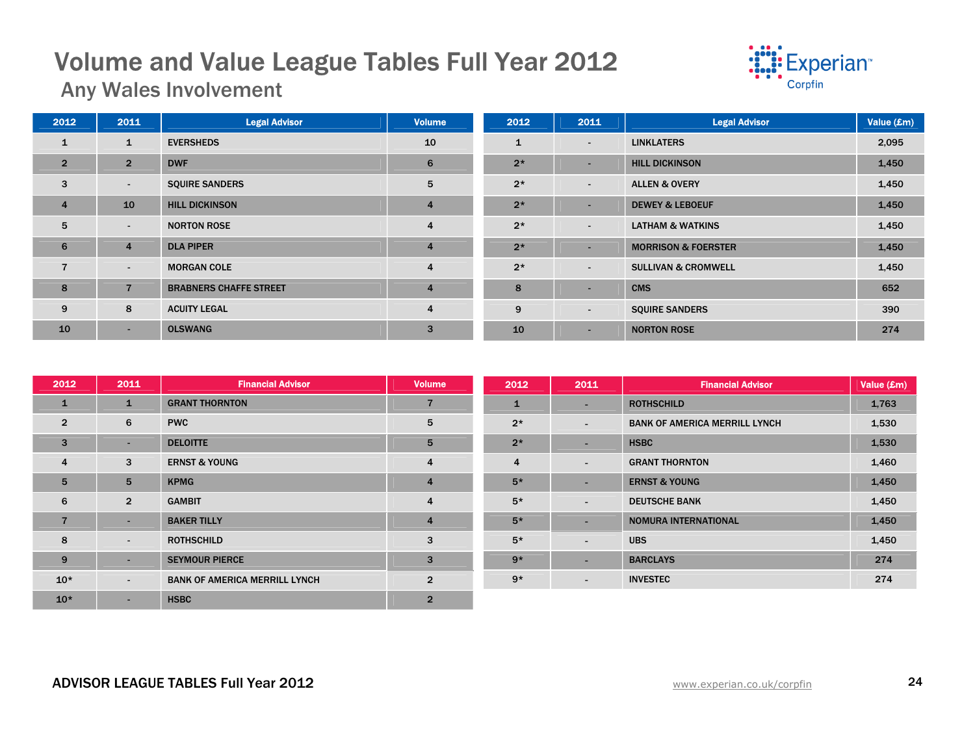

Any Wales Involvement

| 2012           | 2011           | <b>Legal Advisor</b>          | <b>Volume</b>  | 2012         | 2011                     | <b>Legal Advisor</b>           | Value (£m) |
|----------------|----------------|-------------------------------|----------------|--------------|--------------------------|--------------------------------|------------|
| $\mathbf{1}$   | 1              | <b>EVERSHEDS</b>              | 10             | $\mathbf{1}$ | $\sim$                   | <b>LINKLATERS</b>              | 2,095      |
| $\overline{2}$ | $\overline{2}$ | <b>DWF</b>                    | 6              | $2*$         | $\sim$                   | <b>HILL DICKINSON</b>          | 1,450      |
| 3              | $\sim$         | <b>SQUIRE SANDERS</b>         | 5              | $2*$         | $\overline{\phantom{a}}$ | <b>ALLEN &amp; OVERY</b>       | 1,450      |
| $\overline{4}$ | 10             | <b>HILL DICKINSON</b>         | $\overline{4}$ | $2*$         | $\overline{\phantom{a}}$ | <b>DEWEY &amp; LEBOEUF</b>     | 1,450      |
| 5              | $\sim$         | <b>NORTON ROSE</b>            | $\overline{4}$ | $2*$         | $\overline{\phantom{a}}$ | <b>LATHAM &amp; WATKINS</b>    | 1,450      |
| 6              | $\overline{4}$ | <b>DLA PIPER</b>              | $\overline{4}$ | $2*$         | <b>-</b>                 | <b>MORRISON &amp; FOERSTER</b> | 1,450      |
| $\overline{7}$ | $\sim$         | <b>MORGAN COLE</b>            | 4              | $2*$         | $\overline{\phantom{a}}$ | <b>SULLIVAN &amp; CROMWELL</b> | 1,450      |
| 8              | $\overline{7}$ | <b>BRABNERS CHAFFE STREET</b> | $\overline{4}$ | 8            | $\overline{\phantom{a}}$ | <b>CMS</b>                     | 652        |
| 9              | 8              | <b>ACUITY LEGAL</b>           | 4              | 9            | $\sim$                   | <b>SQUIRE SANDERS</b>          | 390        |
| 10             | $\sim$         | <b>OLSWANG</b>                | 3              | 10           | $\sim$                   | <b>NORTON ROSE</b>             | 274        |

| 2012           | 2011           | <b>Financial Advisor</b>             | <b>Volume</b>  | 2012           | 2011                                          | <b>Financial Advisor</b>             | Value (£m) |
|----------------|----------------|--------------------------------------|----------------|----------------|-----------------------------------------------|--------------------------------------|------------|
| 1              | $\mathbf{1}$   | <b>GRANT THORNTON</b>                | 7              | $\mathbf{1}$   | <b>ROTHSCHILD</b><br>$\overline{\phantom{0}}$ |                                      | 1,763      |
| $\overline{2}$ | 6              | <b>PWC</b>                           | 5              | $2*$           | $\overline{\phantom{0}}$                      | <b>BANK OF AMERICA MERRILL LYNCH</b> | 1,530      |
| 3              | $\sim$         | <b>DELOITTE</b>                      | 5              | $2*$           | $\overline{\phantom{a}}$                      | <b>HSBC</b>                          | 1,530      |
| $\overline{4}$ | 3              | <b>ERNST &amp; YOUNG</b>             | 4              | $\overline{4}$ | $\overline{\phantom{0}}$                      | <b>GRANT THORNTON</b>                | 1,460      |
| 5              | 5              | <b>KPMG</b>                          | 4              | $5*$           | $\overline{\phantom{a}}$                      | <b>ERNST &amp; YOUNG</b>             | 1,450      |
| 6              | $\overline{2}$ | <b>GAMBIT</b>                        | 4              | $5*$           | $\overline{\phantom{a}}$                      | <b>DEUTSCHE BANK</b>                 | 1,450      |
| $\overline{7}$ | $\sim$         | <b>BAKER TILLY</b>                   | $\overline{4}$ | $5*$           | $\overline{\phantom{0}}$                      | NOMURA INTERNATIONAL                 | 1,450      |
| 8              | $\sim$         | <b>ROTHSCHILD</b>                    | 3              | $5*$           | $\overline{\phantom{a}}$                      | <b>UBS</b>                           | 1,450      |
| 9              | $\sim$         | <b>SEYMOUR PIERCE</b>                | 3              | $9*$           | $\overline{\phantom{0}}$                      | <b>BARCLAYS</b>                      | 274        |
| $10*$          | $\sim$         | <b>BANK OF AMERICA MERRILL LYNCH</b> | $\overline{2}$ | $9*$           | $\overline{\phantom{a}}$                      | <b>INVESTEC</b>                      | 274        |
| $10*$          | $\sim$         | <b>HSBC</b>                          | $\overline{2}$ |                |                                               |                                      |            |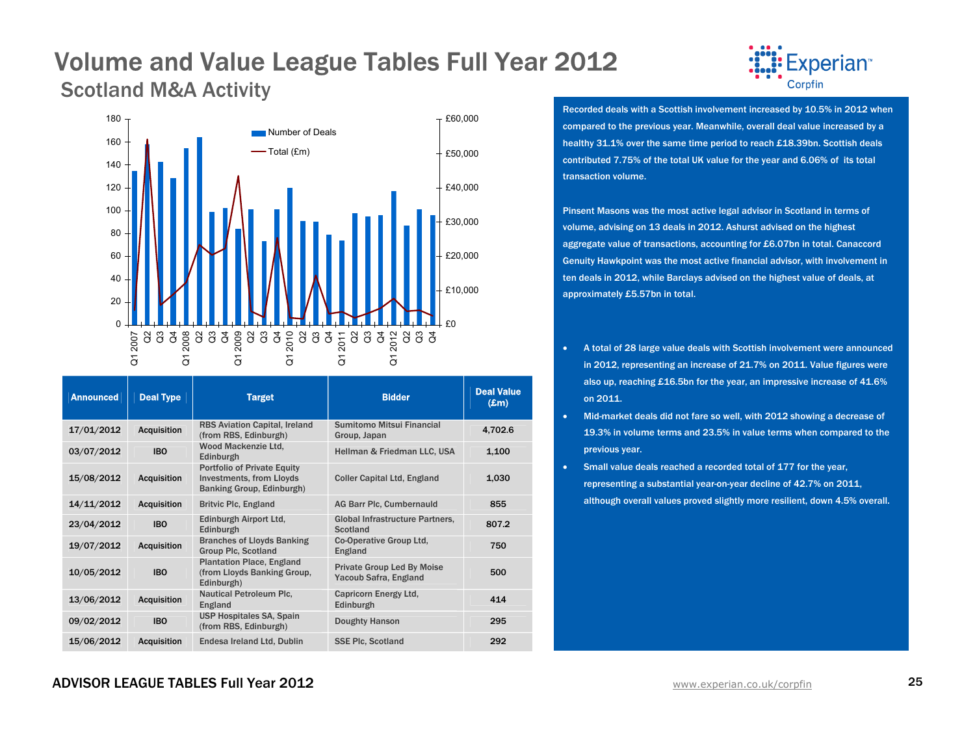### Volume and Value League Tables Full Year 2012 Scotland M&A Activity



| <b>Announced</b> | <b>Deal Type</b>   | <b>Target</b>                                                                                      | <b>Bidder</b>                                              | <b>Deal Value</b><br>$(\pmb{\pounds} \mathbf{m})$ |
|------------------|--------------------|----------------------------------------------------------------------------------------------------|------------------------------------------------------------|---------------------------------------------------|
| 17/01/2012       | <b>Acquisition</b> | <b>RBS Aviation Capital, Ireland</b><br>(from RBS, Edinburgh)                                      | Sumitomo Mitsui Financial<br>Group, Japan                  | 4.702.6                                           |
| 03/07/2012       | <b>IBO</b>         | Wood Mackenzie Ltd.<br>Edinburgh                                                                   | Hellman & Friedman LLC, USA                                | 1,100                                             |
| 15/08/2012       | <b>Acquisition</b> | <b>Portfolio of Private Equity</b><br><b>Investments, from Lloyds</b><br>Banking Group, Edinburgh) | <b>Coller Capital Ltd, England</b>                         | 1,030                                             |
| 14/11/2012       | <b>Acquisition</b> | <b>Britvic Plc, England</b>                                                                        | AG Barr Plc, Cumbernauld                                   | 855                                               |
| 23/04/2012       | <b>IBO</b>         | Edinburgh Airport Ltd.<br>Edinburgh                                                                | <b>Global Infrastructure Partners.</b><br>Scotland         | 807.2                                             |
| 19/07/2012       | <b>Acquisition</b> | <b>Branches of Lloyds Banking</b><br><b>Group Plc, Scotland</b>                                    | Co-Operative Group Ltd.<br>England                         | 750                                               |
| 10/05/2012       | <b>IBO</b>         | <b>Plantation Place, England</b><br>(from Lloyds Banking Group,<br>Edinburgh)                      | <b>Private Group Led By Moise</b><br>Yacoub Safra, England | 500                                               |
| 13/06/2012       | <b>Acquisition</b> | <b>Nautical Petroleum Plc.</b><br>England                                                          | Capricorn Energy Ltd.<br>Edinburgh                         | 414                                               |
| 09/02/2012       | <b>IBO</b>         | <b>USP Hospitales SA, Spain</b><br>(from RBS, Edinburgh)                                           | <b>Doughty Hanson</b>                                      | 295                                               |
| 15/06/2012       | <b>Acquisition</b> | Endesa Ireland Ltd, Dublin                                                                         | <b>SSE Plc. Scotland</b>                                   | 292                                               |



Recorded deals with a Scottish involvement increased by 10.5% in 2012 when compared to the previous year. Meanwhile, overall deal value increased by a healthy 31.1% over the same time period to reach £18.39bn. Scottish deals contributed 7.75% of the total UK value for the year and 6.06% of its total transaction volume.

Pinsent Masons was the most active legal advisor in Scotland in terms of volume, advising on 13 deals in 2012. Ashurst advised on the highest aggregate value of transactions, accounting for £6.07bn in total. Canaccord Genuity Hawkpoint was the most active financial advisor, with involvement in ten deals in 2012, while Barclays advised on the highest value of deals, at approximately £5.57bn in total.

- • A total of 28 large value deals with Scottish involvement were announced in 2012, representing an increase of 21.7% on 2011. Value figures were also up, reaching £16.5bn for the year, an impressive increase of 41.6% on 2011.
- Mid-market deals did not fare so well, with 2012 showing a decrease of 19.3% in volume terms and 23.5% in value terms when compared to the previous year.
- • Small value deals reached a recorded total of 177 for the year, representing a substantial year-on-year decline of 42.7% on 2011, although overall values proved slightly more resilient, down 4.5% overall.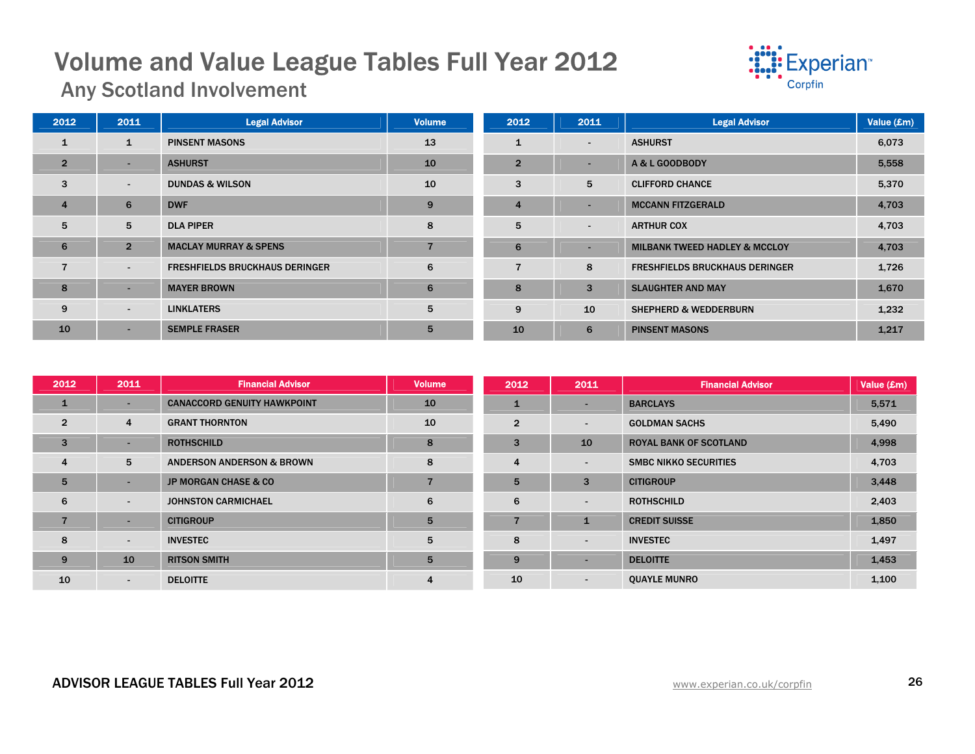

Any Scotland Involvement

| 2012           | 2011           | <b>Legal Advisor</b>                  | <b>Volume</b> | 2012           | 2011                     | <b>Legal Advisor</b>                     | Value (£m) |
|----------------|----------------|---------------------------------------|---------------|----------------|--------------------------|------------------------------------------|------------|
| $\mathbf{1}$   | 1              | <b>PINSENT MASONS</b>                 | 13            | $\mathbf{1}$   | $\sim$                   | <b>ASHURST</b>                           | 6,073      |
| $\overline{2}$ | $\sim$         | <b>ASHURST</b>                        | 10            | $\overline{2}$ | $\overline{\phantom{0}}$ | A & L GOODBODY                           | 5,558      |
| 3              | $\sim$         | <b>DUNDAS &amp; WILSON</b>            | 10            | 3              | 5                        | <b>CLIFFORD CHANCE</b>                   | 5,370      |
| $\overline{4}$ | 6              | <b>DWF</b>                            | 9             | $\overline{4}$ |                          | <b>MCCANN FITZGERALD</b>                 | 4,703      |
| 5              | 5              | <b>DLA PIPER</b>                      | 8             | 5              | $\sim$                   | <b>ARTHUR COX</b>                        | 4,703      |
| 6              | $\overline{2}$ | <b>MACLAY MURRAY &amp; SPENS</b>      |               | 6              | $\sim$                   | <b>MILBANK TWEED HADLEY &amp; MCCLOY</b> | 4,703      |
| $\overline{7}$ | $\sim$         | <b>FRESHFIELDS BRUCKHAUS DERINGER</b> | 6             | $\overline{7}$ | 8                        | <b>FRESHFIELDS BRUCKHAUS DERINGER</b>    | 1,726      |
| 8              | $\sim$         | <b>MAYER BROWN</b>                    | 6             | 8              | 3                        | <b>SLAUGHTER AND MAY</b>                 | 1,670      |
| 9              | $\sim$         | <b>LINKLATERS</b>                     | 5             | 9              | 10                       | <b>SHEPHERD &amp; WEDDERBURN</b>         | 1,232      |
| 10             | $\sim$         | <b>SEMPLE FRASER</b>                  | 5             | 10             | 6                        | <b>PINSENT MASONS</b>                    | 1,217      |

| 2012           | 2011                     | <b>Financial Advisor</b>             | <b>Volume</b>  | 2012           | 2011                     | <b>Financial Advisor</b>      | Value (£m) |
|----------------|--------------------------|--------------------------------------|----------------|----------------|--------------------------|-------------------------------|------------|
| $\mathbf{1}$   | ۰                        | <b>CANACCORD GENUITY HAWKPOINT</b>   | 10             |                |                          | <b>BARCLAYS</b>               | 5,571      |
| $\overline{2}$ | 4                        | <b>GRANT THORNTON</b>                | 10             | $\overline{2}$ | $\overline{\phantom{a}}$ | <b>GOLDMAN SACHS</b>          | 5,490      |
| $\mathbf{3}$   | ۰                        | <b>ROTHSCHILD</b>                    | 8              | 3              | 10                       | <b>ROYAL BANK OF SCOTLAND</b> | 4,998      |
| $\overline{4}$ | 5                        | <b>ANDERSON ANDERSON &amp; BROWN</b> | 8              | 4              |                          | <b>SMBC NIKKO SECURITIES</b>  | 4,703      |
| 5              | ۰                        | <b>JP MORGAN CHASE &amp; CO</b>      | $\overline{ }$ | 5              | $\mathbf{3}$             | <b>CITIGROUP</b>              | 3,448      |
| 6              | $\overline{\phantom{a}}$ | <b>JOHNSTON CARMICHAEL</b>           | 6              | 6              | $\overline{\phantom{a}}$ | <b>ROTHSCHILD</b>             | 2,403      |
| $\overline{7}$ | -                        | <b>CITIGROUP</b>                     | 5              |                | $\mathbf{1}$             | <b>CREDIT SUISSE</b>          | 1,850      |
| 8              | $\overline{a}$           | <b>INVESTEC</b>                      | 5              | 8              | $\sim$                   | <b>INVESTEC</b>               | 1,497      |
| 9              | 10                       | <b>RITSON SMITH</b>                  | 5              | 9              | $\overline{\phantom{0}}$ | <b>DELOITTE</b>               | 1,453      |
| 10             | $\blacksquare$           | <b>DELOITTE</b>                      | 4              | 10             | $\sim$                   | <b>OUAYLE MUNRO</b>           | 1,100      |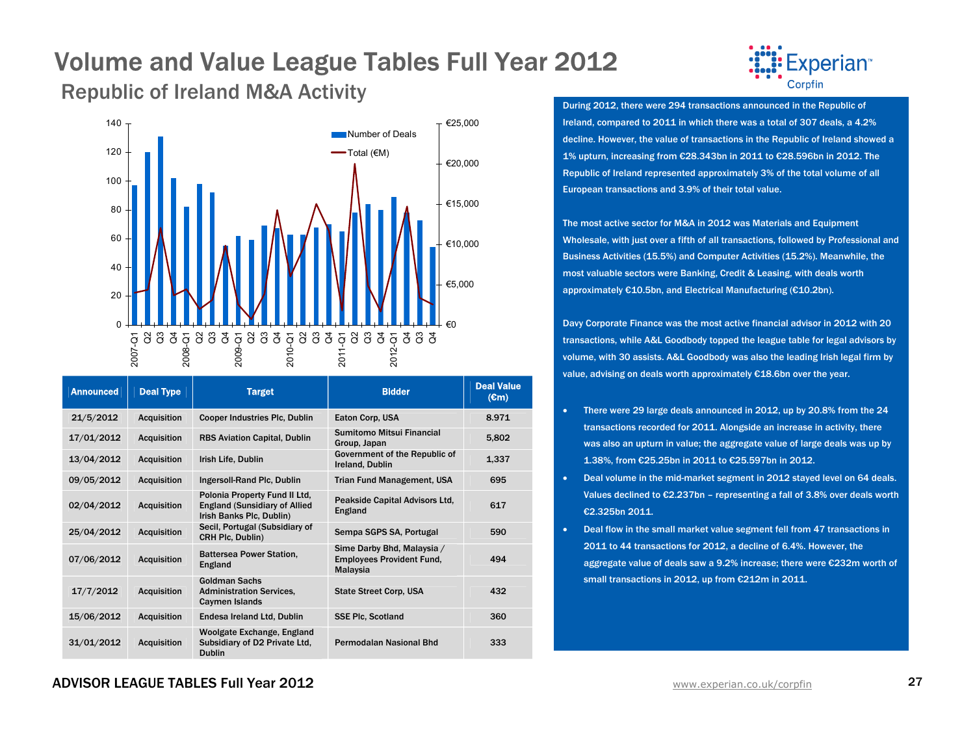## Republic of Ireland M&A Activity During 2012, there were 294 transactions announced in the Republic of



| <b>Announced</b> | <b>Deal Type</b>   | <b>Target</b>                                                                                      | <b>Bidder</b>                                                              | <b>Deal Value</b><br>$(\mathbf{em})$ |
|------------------|--------------------|----------------------------------------------------------------------------------------------------|----------------------------------------------------------------------------|--------------------------------------|
| 21/5/2012        | <b>Acquisition</b> | <b>Cooper Industries Plc, Dublin</b>                                                               | Eaton Corp. USA                                                            | 8.971                                |
| 17/01/2012       | <b>Acquisition</b> | <b>RBS Aviation Capital, Dublin</b>                                                                | Sumitomo Mitsui Financial<br>Group, Japan                                  | 5,802                                |
| 13/04/2012       | <b>Acquisition</b> | Irish Life, Dublin                                                                                 | Government of the Republic of<br>Ireland, Dublin                           | 1,337                                |
| 09/05/2012       | <b>Acquisition</b> | Ingersoll-Rand Plc, Dublin                                                                         | <b>Trian Fund Management, USA</b>                                          | 695                                  |
| 02/04/2012       | <b>Acquisition</b> | Polonia Property Fund II Ltd,<br><b>England (Sunsidiary of Allied)</b><br>Irish Banks Plc, Dublin) | Peakside Capital Advisors Ltd,<br>England                                  | 617                                  |
| 25/04/2012       | <b>Acquisition</b> | Secil, Portugal (Subsidiary of<br>CRH Plc, Dublin)                                                 | Sempa SGPS SA, Portugal                                                    | 590                                  |
| 07/06/2012       | <b>Acquisition</b> | <b>Battersea Power Station,</b><br>England                                                         | Sime Darby Bhd, Malaysia /<br><b>Employees Provident Fund,</b><br>Malaysia | 494                                  |
| 17/7/2012        | <b>Acquisition</b> | <b>Goldman Sachs</b><br><b>Administration Services,</b><br>Caymen Islands                          | <b>State Street Corp. USA</b>                                              | 432                                  |
| 15/06/2012       | <b>Acquisition</b> | Endesa Ireland Ltd, Dublin                                                                         | <b>SSE Plc. Scotland</b>                                                   | 360                                  |
| 31/01/2012       | <b>Acquisition</b> | Woolgate Exchange, England<br>Subsidiary of D2 Private Ltd.<br><b>Dublin</b>                       | <b>Permodalan Nasional Bhd</b>                                             | 333                                  |



Ireland, compared to 2011 in which there was a total of 307 deals, a 4.2% decline. However, the value of transactions in the Republic of Ireland showed a 1% upturn, increasing from €28.343bn in 2011 to €28.596bn in 2012. The Republic of Ireland represented approximately 3% of the total volume of all European transactions and 3.9% of their total value.

The most active sector for M&A in 2012 was Materials and Equipment Wholesale, with just over a fifth of all transactions, followed by Professional and Business Activities (15.5%) and Computer Activities (15.2%). Meanwhile, the most valuable sectors were Banking, Credit & Leasing, with deals worth approximately €10.5bn, and Electrical Manufacturing (€10.2bn).

Davy Corporate Finance was the most active financial advisor in 2012 with 20 transactions, while A&L Goodbody topped the league table for legal advisors by volume, with 30 assists. A&L Goodbody was also the leading Irish legal firm by value, advising on deals worth approximately €18.6bn over the year.

- • There were 29 large deals announced in 2012, up by 20.8% from the 24 transactions recorded for 2011. Alongside an increase in activity, there was also an upturn in value; the aggregate value of large deals was up by 1.38%, from €25.25bn in 2011 to €25.597bn in 2012.
- • Deal volume in the mid-market segment in 2012 stayed level on 64 deals. Values declined to €2.237bn – representing a fall of 3.8% over deals worth €2.325bn 2011.
- • Deal flow in the small market value segment fell from 47 transactions in 2011 to 44 transactions for 2012, a decline of 6.4%. However, the aggregate value of deals saw a 9.2% increase; there were €232m worth of small transactions in 2012, up from €212m in 2011.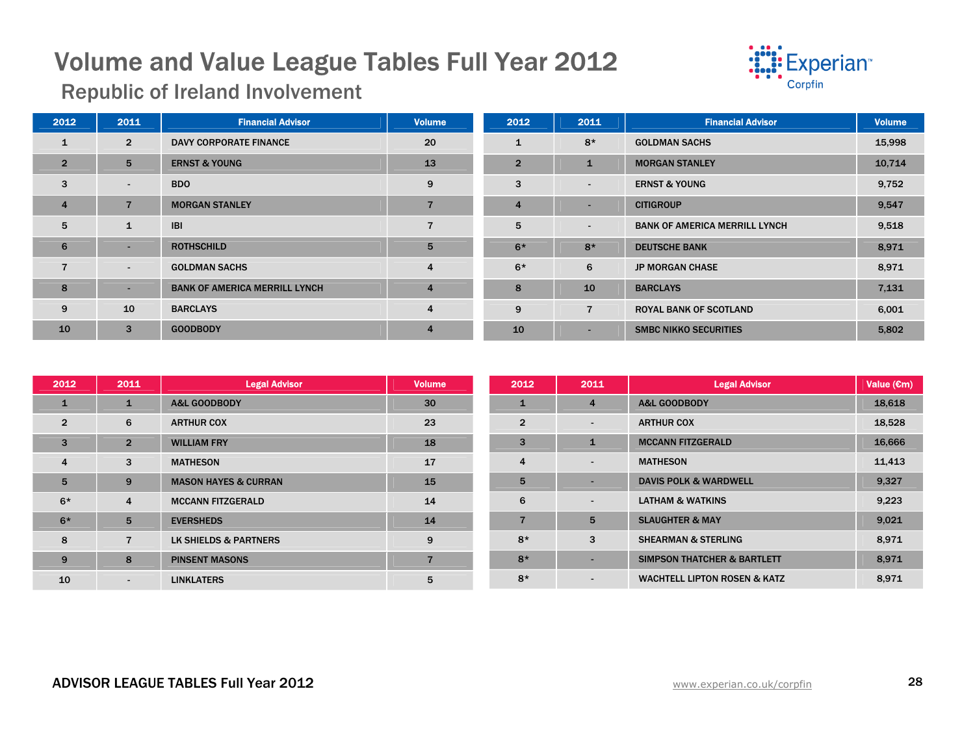

Republic of Ireland Involvement

| 2012           | 2011           | <b>Financial Advisor</b>             | <b>Volume</b>  | 2012           | 2011           | <b>Financial Advisor</b>             | <b>Volume</b> |
|----------------|----------------|--------------------------------------|----------------|----------------|----------------|--------------------------------------|---------------|
| $\mathbf{1}$   | $\overline{2}$ | <b>DAVY CORPORATE FINANCE</b>        | 20             | $\mathbf{1}$   | $8*$           | <b>GOLDMAN SACHS</b>                 | 15,998        |
| $\overline{2}$ | 5              | <b>ERNST &amp; YOUNG</b>             | 13             | $\overline{2}$ | $\mathbf{1}$   | <b>MORGAN STANLEY</b>                | 10,714        |
| 3              | $\blacksquare$ | <b>BDO</b>                           | 9              | 3              | $\sim$         | <b>ERNST &amp; YOUNG</b>             | 9,752         |
| $\overline{4}$ | $\overline{7}$ | <b>MORGAN STANLEY</b>                |                | $\overline{4}$ | ۰.             | <b>CITIGROUP</b>                     | 9,547         |
| 5              | $\mathbf{1}$   | <b>IBI</b>                           |                | 5              | $\sim$         | <b>BANK OF AMERICA MERRILL LYNCH</b> | 9,518         |
| 6              | ×.             | <b>ROTHSCHILD</b>                    | 5              | $6*$           | $8*$           | <b>DEUTSCHE BANK</b>                 | 8,971         |
| $\overline{7}$ | $\sim$         | <b>GOLDMAN SACHS</b>                 | 4              | $6*$           | 6              | <b>JP MORGAN CHASE</b>               | 8,971         |
| 8              | ×.             | <b>BANK OF AMERICA MERRILL LYNCH</b> | $\overline{4}$ | 8              | 10             | <b>BARCLAYS</b>                      | 7,131         |
| 9              | 10             | <b>BARCLAYS</b>                      | 4              | 9              | $\overline{7}$ | ROYAL BANK OF SCOTLAND               | 6,001         |
| 10             | 3              | <b>GOODBODY</b>                      | $\overline{4}$ | 10             | ۰.             | <b>SMBC NIKKO SECURITIES</b>         | 5,802         |

| 2012           | 2011           | <b>Legal Advisor</b>            | <b>Volume</b>  | 2012           | 2011           | <b>Legal Advisor</b>                    | Value $(\epsilon m)$ |
|----------------|----------------|---------------------------------|----------------|----------------|----------------|-----------------------------------------|----------------------|
| $\mathbf{1}$   | $\mathbf{1}$   | <b>A&amp;L GOODBODY</b>         | 30             | 1              | 4              | <b>A&amp;L GOODBODY</b>                 | 18,618               |
| $\overline{2}$ | 6              | <b>ARTHUR COX</b>               | 23             | $\overline{2}$ | $\blacksquare$ | <b>ARTHUR COX</b>                       | 18,528               |
| $\overline{3}$ | $\overline{2}$ | <b>WILLIAM FRY</b>              | 18             | 3              |                | <b>MCCANN FITZGERALD</b>                | 16,666               |
| $\overline{4}$ | 3              | <b>MATHESON</b>                 | 17             | 4              | $\blacksquare$ | <b>MATHESON</b>                         | 11,413               |
| 5              | 9              | <b>MASON HAYES &amp; CURRAN</b> | 15             | 5              |                | <b>DAVIS POLK &amp; WARDWELL</b>        | 9,327                |
| $6*$           | 4              | <b>MCCANN FITZGERALD</b>        | 14             | 6              |                | <b>LATHAM &amp; WATKINS</b>             | 9,223                |
| $6*$           | 5              | <b>EVERSHEDS</b>                | 14             |                | 5              | <b>SLAUGHTER &amp; MAY</b>              | 9,021                |
| 8              | $\overline{7}$ | LK SHIELDS & PARTNERS           | 9              | $8*$           | 3              | <b>SHEARMAN &amp; STERLING</b>          | 8,971                |
| 9              | 8              | <b>PINSENT MASONS</b>           | $\overline{ }$ | $8*$           |                | <b>SIMPSON THATCHER &amp; BARTLETT</b>  | 8,971                |
| 10             | $\sim$         | <b>LINKLATERS</b>               | 5              | $8*$           | $\blacksquare$ | <b>WACHTELL LIPTON ROSEN &amp; KATZ</b> | 8,971                |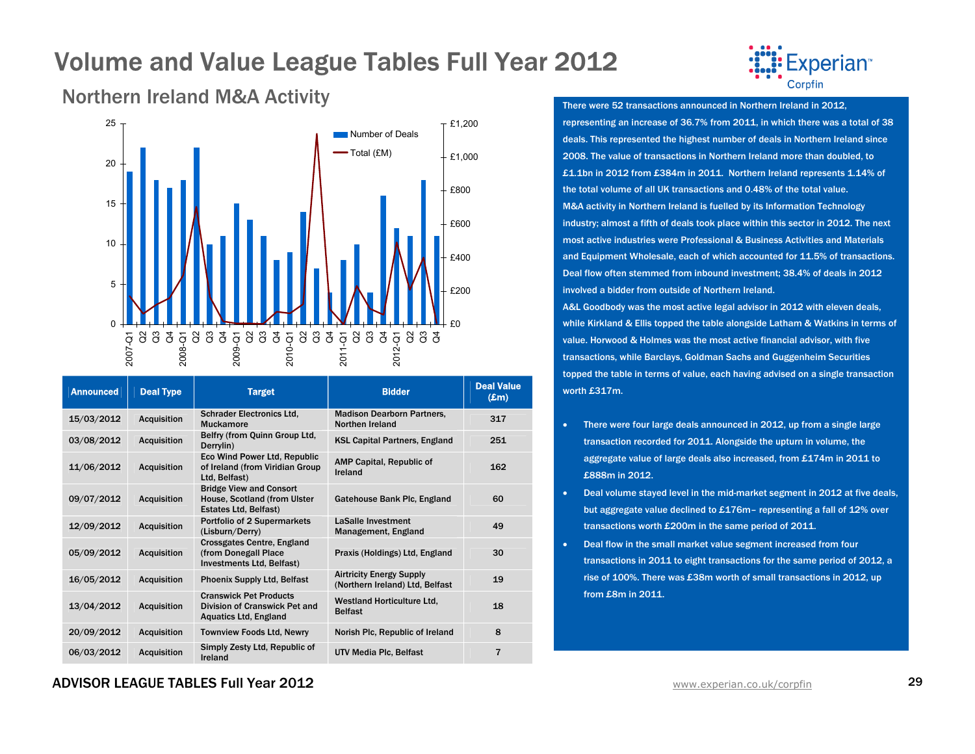

Northern Ireland M&A Activity



| <b>Announced</b> | <b>Deal Type</b>   | <b>Target</b>                                                                                  | <b>Bidder</b>                                                      | <b>Deal Value</b><br>$(\pmb{\pounds} \mathbf{m})$ |
|------------------|--------------------|------------------------------------------------------------------------------------------------|--------------------------------------------------------------------|---------------------------------------------------|
| 15/03/2012       | <b>Acquisition</b> | <b>Schrader Electronics Ltd.</b><br><b>Muckamore</b>                                           | <b>Madison Dearborn Partners,</b><br>Northen Ireland               | 317                                               |
| 03/08/2012       | <b>Acquisition</b> | Belfry (from Quinn Group Ltd,<br>Derrylin)                                                     | <b>KSL Capital Partners, England</b>                               | 251                                               |
| 11/06/2012       | <b>Acquisition</b> | Eco Wind Power Ltd, Republic<br>of Ireland (from Viridian Group<br>Ltd, Belfast)               | <b>AMP Capital, Republic of</b><br>Ireland                         | 162                                               |
| 09/07/2012       | <b>Acquisition</b> | <b>Bridge View and Consort</b><br>House, Scotland (from Ulster<br>Estates Ltd, Belfast)        | Gatehouse Bank Plc, England                                        | 60                                                |
| 12/09/2012       | <b>Acquisition</b> | Portfolio of 2 Supermarkets<br>(Lisburn/Derry)                                                 | LaSalle Investment<br>Management, England                          | 49                                                |
| 05/09/2012       | <b>Acquisition</b> | <b>Crossgates Centre, England</b><br>(from Donegall Place<br>Investments Ltd, Belfast)         | Praxis (Holdings) Ltd, England                                     | 30                                                |
| 16/05/2012       | <b>Acquisition</b> | <b>Phoenix Supply Ltd, Belfast</b>                                                             | <b>Airtricity Energy Supply</b><br>(Northern Ireland) Ltd, Belfast | 19                                                |
| 13/04/2012       | <b>Acquisition</b> | <b>Cranswick Pet Products</b><br>Division of Cranswick Pet and<br><b>Aquatics Ltd, England</b> | <b>Westland Horticulture Ltd.</b><br><b>Belfast</b>                | 18                                                |
| 20/09/2012       | <b>Acquisition</b> | <b>Townview Foods Ltd, Newry</b>                                                               | Norish Plc, Republic of Ireland                                    | 8                                                 |
| 06/03/2012       | <b>Acquisition</b> | Simply Zesty Ltd, Republic of<br>Ireland                                                       | UTV Media Plc, Belfast                                             | $\overline{7}$                                    |

There were 52 transactions announced in Northern Ireland in 2012, representing an increase of 36.7% from 2011, in which there was a total of 38 deals. This represented the highest number of deals in Northern Ireland since 2008. The value of transactions in Northern Ireland more than doubled, to £1.1bn in 2012 from £384m in 2011. Northern Ireland represents 1.14% of the total volume of all UK transactions and 0.48% of the total value. M&A activity in Northern Ireland is fuelled by its Information Technology industry; almost a fifth of deals took place within this sector in 2012. The next most active industries were Professional & Business Activities and Materials and Equipment Wholesale, each of which accounted for 11.5% of transactions. Deal flow often stemmed from inbound investment; 38.4% of deals in 2012 involved a bidder from outside of Northern Ireland.

A&L Goodbody was the most active legal advisor in 2012 with eleven deals, while Kirkland & Ellis topped the table alongside Latham & Watkins in terms of value. Horwood & Holmes was the most active financial advisor, with five transactions, while Barclays, Goldman Sachs and Guggenheim Securities topped the table in terms of value, each having advised on a single transaction worth £317m.

- There were four large deals announced in 2012, up from a single large transaction recorded for 2011. Alongside the upturn in volume, the aggregate value of large deals also increased, from £174m in 2011 to £888m in 2012.
- Deal volume stayed level in the mid-market segment in 2012 at five deals, but aggregate value declined to £176m– representing a fall of 12% over transactions worth £200m in the same period of 2011.
- • Deal flow in the small market value segment increased from four transactions in 2011 to eight transactions for the same period of 2012, a rise of 100%. There was £38m worth of small transactions in 2012, up from £8m in 2011.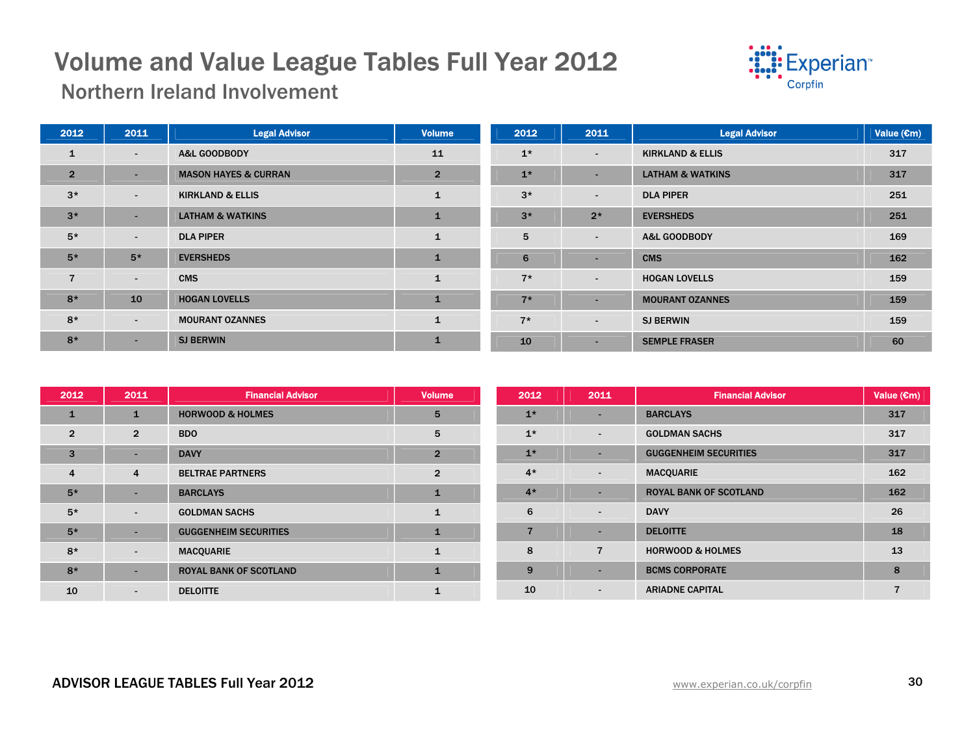

Northern Ireland Involvement

| 2012           | 2011   | <b>Legal Advisor</b>            | <b>Volume</b>  | 2012 | 2011                     | <b>Legal Advisor</b>        | Value $(\epsilon m)$ |
|----------------|--------|---------------------------------|----------------|------|--------------------------|-----------------------------|----------------------|
| $\mathbf{1}$   | $\sim$ | A&L GOODBODY                    | 11             | $1*$ | $\sim$                   | <b>KIRKLAND &amp; ELLIS</b> | 317                  |
| $\overline{2}$ | -      | <b>MASON HAYES &amp; CURRAN</b> | $\overline{2}$ | $1*$ | $\overline{\phantom{a}}$ | <b>LATHAM &amp; WATKINS</b> | 317                  |
| $3*$           | $\sim$ | <b>KIRKLAND &amp; ELLIS</b>     | $\mathbf{1}$   | $3*$ | $\sim$                   | <b>DLA PIPER</b>            | 251                  |
| $3*$           | -      | <b>LATHAM &amp; WATKINS</b>     | $\blacksquare$ | $3*$ | $2*$                     | <b>EVERSHEDS</b>            | 251                  |
| $5*$           | $\sim$ | <b>DLA PIPER</b>                | $\mathbf{1}$   | 5    | $\sim$                   | <b>A&amp;L GOODBODY</b>     | 169                  |
| $5*$           | $5*$   | <b>EVERSHEDS</b>                | $\mathbf{1}$   | 6    | $\overline{\phantom{a}}$ | <b>CMS</b>                  | 162                  |
| $\overline{7}$ | $\sim$ | <b>CMS</b>                      | $\mathbf{1}$   | $7*$ | $\sim$                   | <b>HOGAN LOVELLS</b>        | 159                  |
| $8*$           | 10     | <b>HOGAN LOVELLS</b>            | $\blacksquare$ | $7*$ | $\sim$                   | <b>MOURANT OZANNES</b>      | 159                  |
| $8*$           | $\sim$ | <b>MOURANT OZANNES</b>          | $\mathbf{1}$   | $7*$ | $\sim$                   | <b>SJ BERWIN</b>            | 159                  |
| $8*$           | $\sim$ | <b>SJ BERWIN</b>                | $\mathbf{1}$   | 10   | ۰                        | <b>SEMPLE FRASER</b>        | 60                   |

| 2012           | 2011                     | <b>Financial Advisor</b>      | <b>Volume</b>  | 2012                     | 2011                     | <b>Financial Advisor</b>      | Value $(\epsilon m)$ |
|----------------|--------------------------|-------------------------------|----------------|--------------------------|--------------------------|-------------------------------|----------------------|
| $\mathbf{1}$   | 1                        | <b>HORWOOD &amp; HOLMES</b>   | 5              | $1*$                     | -                        | <b>BARCLAYS</b>               | 317                  |
| $\overline{2}$ | $\overline{2}$           | <b>BDO</b>                    | 5              | $1*$                     | $\overline{\phantom{0}}$ | <b>GOLDMAN SACHS</b>          | 317                  |
| 3              | $\overline{\phantom{a}}$ | <b>DAVY</b>                   | $\overline{2}$ | $1*$                     | -                        | <b>GUGGENHEIM SECURITIES</b>  | 317                  |
| 4              | 4                        | <b>BELTRAE PARTNERS</b>       | $\overline{2}$ | $4*$                     | ٠.                       | <b>MACQUARIE</b>              | 162                  |
| $5*$           | $\overline{\phantom{a}}$ | <b>BARCLAYS</b>               | $\mathbf{1}$   | $4*$                     |                          | <b>ROYAL BANK OF SCOTLAND</b> | 162                  |
| $5*$           | $\sim$                   | <b>GOLDMAN SACHS</b>          | $\mathbf{1}$   | 6                        | $\blacksquare$           | <b>DAVY</b>                   | 26                   |
| $5*$           | $\overline{\phantom{a}}$ | <b>GUGGENHEIM SECURITIES</b>  |                | $\overline{\phantom{a}}$ |                          | <b>DELOITTE</b>               | 18                   |
| $8*$           | $\sim$                   | <b>MACQUARIE</b>              | $\mathbf{1}$   | 8                        | $\overline{7}$           | <b>HORWOOD &amp; HOLMES</b>   | 13                   |
| $8*$           | $\overline{\phantom{a}}$ | <b>ROYAL BANK OF SCOTLAND</b> | $\mathbf{1}$   | 9                        | -                        | <b>BCMS CORPORATE</b>         | 8                    |
| 10             | $\sim$                   | <b>DELOITTE</b>               |                | 10                       | $\blacksquare$           | <b>ARIADNE CAPITAL</b>        |                      |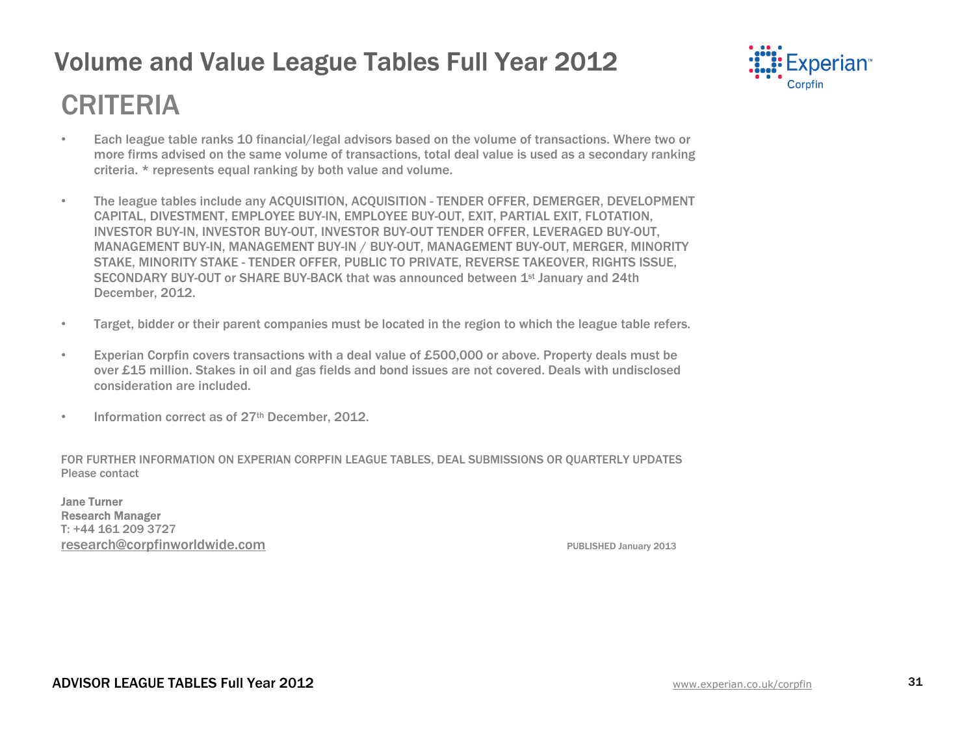

## CRITERIA

- Each league table ranks 10 financial/legal advisors based on the volume of transactions. Where two or more firms advised on the same volume of transactions, total deal value is used as a secondary ranking criteria. \* represents equal ranking by both value and volume.
- The league tables include any ACQUISITION, ACQUISITION TENDER OFFER, DEMERGER, DEVELOPMENT CAPITAL, DIVESTMENT, EMPLOYEE BUY-IN, EMPLOYEE BUY-OUT, EXIT, PARTIAL EXIT, FLOTATION, INVESTOR BUY-IN, INVESTOR BUY-OUT, INVESTOR BUY-OUT TENDER OFFER, LEVERAGED BUY-OUT, MANAGEMENT BUY-IN, MANAGEMENT BUY-IN / BUY-OUT, MANAGEMENT BUY-OUT, MERGER, MINORITY STAKE, MINORITY STAKE - TENDER OFFER, PUBLIC TO PRIVATE, REVERSE TAKEOVER, RIGHTS ISSUE, SECONDARY BUY-OUT or SHARE BUY-BACK that was announced between 1st January and 24th December, 2012.
- Target, bidder or their parent companies must be located in the region to which the league table refers.
- Experian Corpfin covers transactions with a deal value of £500,000 or above. Property deals must be over £15 million. Stakes in oil and gas fields and bond issues are not covered. Deals with undisclosed consideration are included.
- Information correct as of 27<sup>th</sup> December, 2012.

FOR FURTHER INFORMATION ON EXPERIAN CORPFIN LEAGUE TABLES, DEAL SUBMISSIONS OR QUARTERLY UPDATES Please contact

Jane Turner Research Manager T: +44 161 209 3727 research@corpfinworldwide.com entitled and the published January 2013